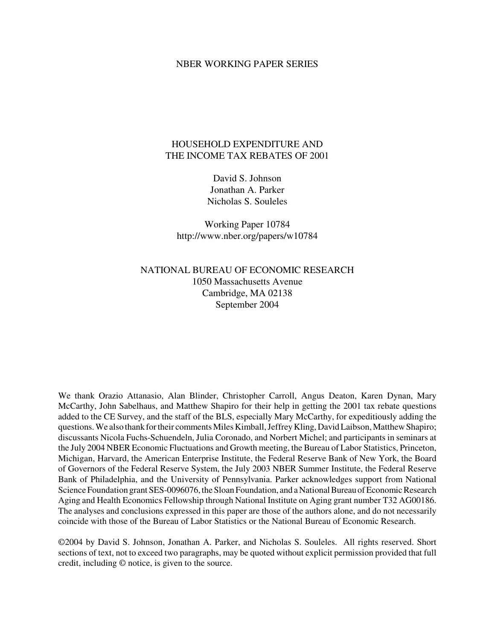#### NBER WORKING PAPER SERIES

#### HOUSEHOLD EXPENDITURE AND THE INCOME TAX REBATES OF 2001

David S. Johnson Jonathan A. Parker Nicholas S. Souleles

Working Paper 10784 http://www.nber.org/papers/w10784

NATIONAL BUREAU OF ECONOMIC RESEARCH 1050 Massachusetts Avenue Cambridge, MA 02138 September 2004

We thank Orazio Attanasio, Alan Blinder, Christopher Carroll, Angus Deaton, Karen Dynan, Mary McCarthy, John Sabelhaus, and Matthew Shapiro for their help in getting the 2001 tax rebate questions added to the CE Survey, and the staff of the BLS, especially Mary McCarthy, for expeditiously adding the questions. We also thank for their comments Miles Kimball, Jeffrey Kling, David Laibson, Matthew Shapiro; discussants Nicola Fuchs-Schuendeln, Julia Coronado, and Norbert Michel; and participants in seminars at the July 2004 NBER Economic Fluctuations and Growth meeting, the Bureau of Labor Statistics, Princeton, Michigan, Harvard, the American Enterprise Institute, the Federal Reserve Bank of New York, the Board of Governors of the Federal Reserve System, the July 2003 NBER Summer Institute, the Federal Reserve Bank of Philadelphia, and the University of Pennsylvania. Parker acknowledges support from National Science Foundation grant SES-0096076, the Sloan Foundation, and a National Bureau of Economic Research Aging and Health Economics Fellowship through National Institute on Aging grant number T32 AG00186. The analyses and conclusions expressed in this paper are those of the authors alone, and do not necessarily coincide with those of the Bureau of Labor Statistics or the National Bureau of Economic Research.

©2004 by David S. Johnson, Jonathan A. Parker, and Nicholas S. Souleles. All rights reserved. Short sections of text, not to exceed two paragraphs, may be quoted without explicit permission provided that full credit, including © notice, is given to the source.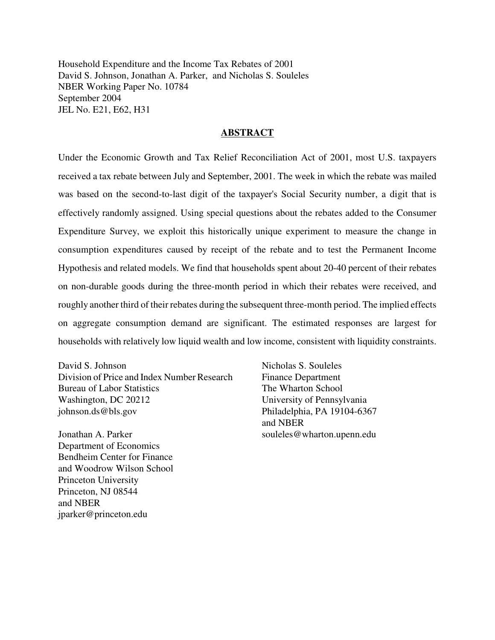Household Expenditure and the Income Tax Rebates of 2001 David S. Johnson, Jonathan A. Parker, and Nicholas S. Souleles NBER Working Paper No. 10784 September 2004 JEL No. E21, E62, H31

#### **ABSTRACT**

Under the Economic Growth and Tax Relief Reconciliation Act of 2001, most U.S. taxpayers received a tax rebate between July and September, 2001. The week in which the rebate was mailed was based on the second-to-last digit of the taxpayer's Social Security number, a digit that is effectively randomly assigned. Using special questions about the rebates added to the Consumer Expenditure Survey, we exploit this historically unique experiment to measure the change in consumption expenditures caused by receipt of the rebate and to test the Permanent Income Hypothesis and related models. We find that households spent about 20-40 percent of their rebates on non-durable goods during the three-month period in which their rebates were received, and roughly another third of their rebates during the subsequent three-month period. The implied effects on aggregate consumption demand are significant. The estimated responses are largest for households with relatively low liquid wealth and low income, consistent with liquidity constraints.

David S. Johnson Division of Price and Index Number Research Bureau of Labor Statistics Washington, DC 20212 johnson.ds@bls.gov

Jonathan A. Parker Department of Economics Bendheim Center for Finance and Woodrow Wilson School Princeton University Princeton, NJ 08544 and NBER jparker@princeton.edu

Nicholas S. Souleles Finance Department The Wharton School University of Pennsylvania Philadelphia, PA 19104-6367 and NBER souleles@wharton.upenn.edu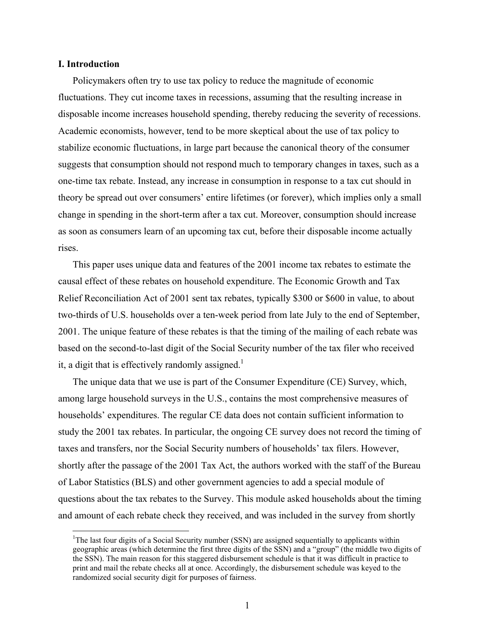#### **I. Introduction**

 $\overline{a}$ 

Policymakers often try to use tax policy to reduce the magnitude of economic fluctuations. They cut income taxes in recessions, assuming that the resulting increase in disposable income increases household spending, thereby reducing the severity of recessions. Academic economists, however, tend to be more skeptical about the use of tax policy to stabilize economic fluctuations, in large part because the canonical theory of the consumer suggests that consumption should not respond much to temporary changes in taxes, such as a one-time tax rebate. Instead, any increase in consumption in response to a tax cut should in theory be spread out over consumers' entire lifetimes (or forever), which implies only a small change in spending in the short-term after a tax cut. Moreover, consumption should increase as soon as consumers learn of an upcoming tax cut, before their disposable income actually rises.

This paper uses unique data and features of the 2001 income tax rebates to estimate the causal effect of these rebates on household expenditure. The Economic Growth and Tax Relief Reconciliation Act of 2001 sent tax rebates, typically \$300 or \$600 in value, to about two-thirds of U.S. households over a ten-week period from late July to the end of September, 2001. The unique feature of these rebates is that the timing of the mailing of each rebate was based on the second-to-last digit of the Social Security number of the tax filer who received it, a digit that is effectively randomly assigned.<sup>1</sup>

The unique data that we use is part of the Consumer Expenditure (CE) Survey, which, among large household surveys in the U.S., contains the most comprehensive measures of households' expenditures. The regular CE data does not contain sufficient information to study the 2001 tax rebates. In particular, the ongoing CE survey does not record the timing of taxes and transfers, nor the Social Security numbers of households' tax filers. However, shortly after the passage of the 2001 Tax Act, the authors worked with the staff of the Bureau of Labor Statistics (BLS) and other government agencies to add a special module of questions about the tax rebates to the Survey. This module asked households about the timing and amount of each rebate check they received, and was included in the survey from shortly

<sup>&</sup>lt;sup>1</sup>The last four digits of a Social Security number (SSN) are assigned sequentially to applicants within geographic areas (which determine the first three digits of the SSN) and a "group" (the middle two digits of the SSN). The main reason for this staggered disbursement schedule is that it was difficult in practice to print and mail the rebate checks all at once. Accordingly, the disbursement schedule was keyed to the randomized social security digit for purposes of fairness.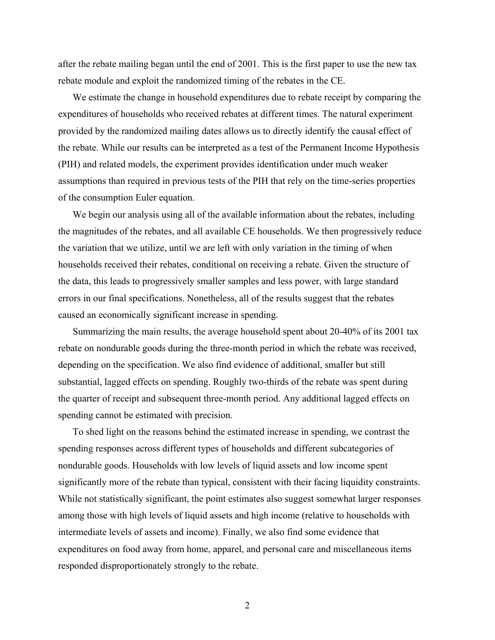after the rebate mailing began until the end of 2001. This is the first paper to use the new tax rebate module and exploit the randomized timing of the rebates in the CE.

We estimate the change in household expenditures due to rebate receipt by comparing the expenditures of households who received rebates at different times. The natural experiment provided by the randomized mailing dates allows us to directly identify the causal effect of the rebate. While our results can be interpreted as a test of the Permanent Income Hypothesis (PIH) and related models, the experiment provides identification under much weaker assumptions than required in previous tests of the PIH that rely on the time-series properties of the consumption Euler equation.

We begin our analysis using all of the available information about the rebates, including the magnitudes of the rebates, and all available CE households. We then progressively reduce the variation that we utilize, until we are left with only variation in the timing of when households received their rebates, conditional on receiving a rebate. Given the structure of the data, this leads to progressively smaller samples and less power, with large standard errors in our final specifications. Nonetheless, all of the results suggest that the rebates caused an economically significant increase in spending.

Summarizing the main results, the average household spent about 20-40% of its 2001 tax rebate on nondurable goods during the three-month period in which the rebate was received, depending on the specification. We also find evidence of additional, smaller but still substantial, lagged effects on spending. Roughly two-thirds of the rebate was spent during the quarter of receipt and subsequent three-month period. Any additional lagged effects on spending cannot be estimated with precision.

To shed light on the reasons behind the estimated increase in spending, we contrast the spending responses across different types of households and different subcategories of nondurable goods. Households with low levels of liquid assets and low income spent significantly more of the rebate than typical, consistent with their facing liquidity constraints. While not statistically significant, the point estimates also suggest somewhat larger responses among those with high levels of liquid assets and high income (relative to households with intermediate levels of assets and income). Finally, we also find some evidence that expenditures on food away from home, apparel, and personal care and miscellaneous items responded disproportionately strongly to the rebate.

2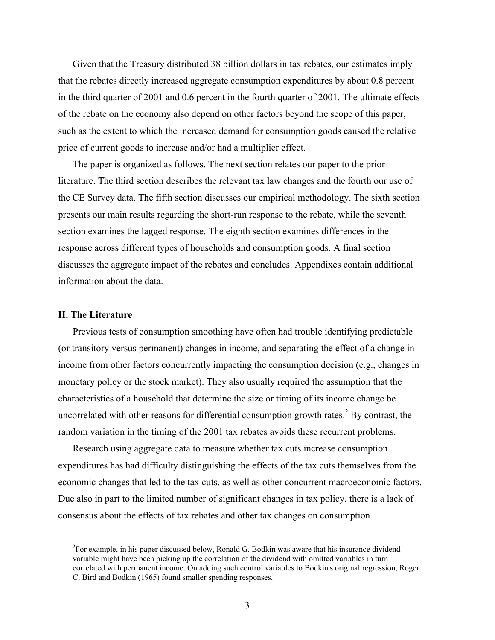Given that the Treasury distributed 38 billion dollars in tax rebates, our estimates imply that the rebates directly increased aggregate consumption expenditures by about 0.8 percent in the third quarter of 2001 and 0.6 percent in the fourth quarter of 2001. The ultimate effects of the rebate on the economy also depend on other factors beyond the scope of this paper, such as the extent to which the increased demand for consumption goods caused the relative price of current goods to increase and/or had a multiplier effect.

The paper is organized as follows. The next section relates our paper to the prior literature. The third section describes the relevant tax law changes and the fourth our use of the CE Survey data. The fifth section discusses our empirical methodology. The sixth section presents our main results regarding the short-run response to the rebate, while the seventh section examines the lagged response. The eighth section examines differences in the response across different types of households and consumption goods. A final section discusses the aggregate impact of the rebates and concludes. Appendixes contain additional information about the data.

#### **II. The Literature**

 $\overline{a}$ 

Previous tests of consumption smoothing have often had trouble identifying predictable (or transitory versus permanent) changes in income, and separating the effect of a change in income from other factors concurrently impacting the consumption decision (e.g., changes in monetary policy or the stock market). They also usually required the assumption that the characteristics of a household that determine the size or timing of its income change be uncorrelated with other reasons for differential consumption growth rates. $^{2}$  By contrast, the random variation in the timing of the 2001 tax rebates avoids these recurrent problems.

Research using aggregate data to measure whether tax cuts increase consumption expenditures has had difficulty distinguishing the effects of the tax cuts themselves from the economic changes that led to the tax cuts, as well as other concurrent macroeconomic factors. Due also in part to the limited number of significant changes in tax policy, there is a lack of consensus about the effects of tax rebates and other tax changes on consumption

 ${}^{2}$ For example, in his paper discussed below, Ronald G. Bodkin was aware that his insurance dividend variable might have been picking up the correlation of the dividend with omitted variables in turn correlated with permanent income. On adding such control variables to Bodkin's original regression, Roger C. Bird and Bodkin (1965) found smaller spending responses.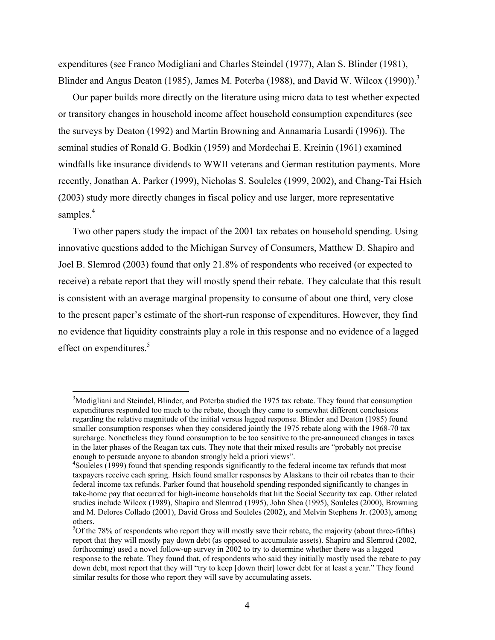expenditures (see Franco Modigliani and Charles Steindel (1977), Alan S. Blinder (1981), Blinder and Angus Deaton (1985), James M. Poterba (1988), and David W. Wilcox (1990)).<sup>3</sup>

Our paper builds more directly on the literature using micro data to test whether expected or transitory changes in household income affect household consumption expenditures (see the surveys by Deaton (1992) and Martin Browning and Annamaria Lusardi (1996)). The seminal studies of Ronald G. Bodkin (1959) and Mordechai E. Kreinin (1961) examined windfalls like insurance dividends to WWII veterans and German restitution payments. More recently, Jonathan A. Parker (1999), Nicholas S. Souleles (1999, 2002), and Chang-Tai Hsieh (2003) study more directly changes in fiscal policy and use larger, more representative samples.<sup>4</sup>

Two other papers study the impact of the 2001 tax rebates on household spending. Using innovative questions added to the Michigan Survey of Consumers, Matthew D. Shapiro and Joel B. Slemrod (2003) found that only 21.8% of respondents who received (or expected to receive) a rebate report that they will mostly spend their rebate. They calculate that this result is consistent with an average marginal propensity to consume of about one third, very close to the present paper's estimate of the short-run response of expenditures. However, they find no evidence that liquidity constraints play a role in this response and no evidence of a lagged effect on expenditures.<sup>5</sup>

<sup>&</sup>lt;sup>3</sup>Modigliani and Steindel, Blinder, and Poterba studied the 1975 tax rebate. They found that consumption expenditures responded too much to the rebate, though they came to somewhat different conclusions regarding the relative magnitude of the initial versus lagged response. Blinder and Deaton (1985) found smaller consumption responses when they considered jointly the 1975 rebate along with the 1968-70 tax surcharge. Nonetheless they found consumption to be too sensitive to the pre-announced changes in taxes in the later phases of the Reagan tax cuts. They note that their mixed results are "probably not precise enough to persuade anyone to abandon strongly held a priori views".

<sup>&</sup>lt;sup>4</sup>Souleles (1999) found that spending responds significantly to the federal income tax refunds that most taxpayers receive each spring. Hsieh found smaller responses by Alaskans to their oil rebates than to their federal income tax refunds. Parker found that household spending responded significantly to changes in take-home pay that occurred for high-income households that hit the Social Security tax cap. Other related studies include Wilcox (1989), Shapiro and Slemrod (1995), John Shea (1995), Souleles (2000), Browning and M. Delores Collado (2001), David Gross and Souleles (2002), and Melvin Stephens Jr. (2003), among others.

 $5$ Of the 78% of respondents who report they will mostly save their rebate, the majority (about three-fifths) report that they will mostly pay down debt (as opposed to accumulate assets). Shapiro and Slemrod (2002, forthcoming) used a novel follow-up survey in 2002 to try to determine whether there was a lagged response to the rebate. They found that, of respondents who said they initially mostly used the rebate to pay down debt, most report that they will "try to keep [down their] lower debt for at least a year." They found similar results for those who report they will save by accumulating assets.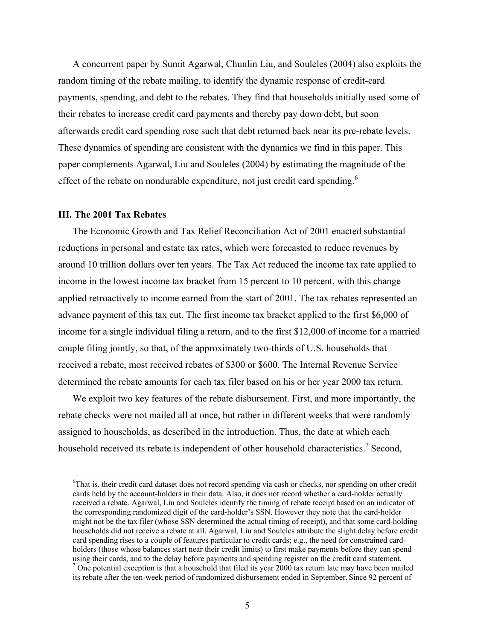A concurrent paper by Sumit Agarwal, Chunlin Liu, and Souleles (2004) also exploits the random timing of the rebate mailing, to identify the dynamic response of credit-card payments, spending, and debt to the rebates. They find that households initially used some of their rebates to increase credit card payments and thereby pay down debt, but soon afterwards credit card spending rose such that debt returned back near its pre-rebate levels. These dynamics of spending are consistent with the dynamics we find in this paper. This paper complements Agarwal, Liu and Souleles (2004) by estimating the magnitude of the effect of the rebate on nondurable expenditure, not just credit card spending.<sup>6</sup>

#### **III. The 2001 Tax Rebates**

 $\overline{a}$ 

The Economic Growth and Tax Relief Reconciliation Act of 2001 enacted substantial reductions in personal and estate tax rates, which were forecasted to reduce revenues by around 10 trillion dollars over ten years. The Tax Act reduced the income tax rate applied to income in the lowest income tax bracket from 15 percent to 10 percent, with this change applied retroactively to income earned from the start of 2001. The tax rebates represented an advance payment of this tax cut. The first income tax bracket applied to the first \$6,000 of income for a single individual filing a return, and to the first \$12,000 of income for a married couple filing jointly, so that, of the approximately two-thirds of U.S. households that received a rebate, most received rebates of \$300 or \$600. The Internal Revenue Service determined the rebate amounts for each tax filer based on his or her year 2000 tax return.

We exploit two key features of the rebate disbursement. First, and more importantly, the rebate checks were not mailed all at once, but rather in different weeks that were randomly assigned to households, as described in the introduction. Thus, the date at which each household received its rebate is independent of other household characteristics.<sup>7</sup> Second,

<sup>&</sup>lt;sup>6</sup>That is, their credit card dataset does not record spending via cash or checks, nor spending on other credit cards held by the account-holders in their data. Also, it does not record whether a card-holder actually received a rebate. Agarwal, Liu and Souleles identify the timing of rebate receipt based on an indicator of the corresponding randomized digit of the card-holder's SSN. However they note that the card-holder might not be the tax filer (whose SSN determined the actual timing of receipt), and that some card-holding households did not receive a rebate at all. Agarwal, Liu and Souleles attribute the slight delay before credit card spending rises to a couple of features particular to credit cards; e.g., the need for constrained cardholders (those whose balances start near their credit limits) to first make payments before they can spend using their cards, and to the delay before payments and spending register on the credit card statement.  $<sup>7</sup>$  One potential exception is that a household that filed its year 2000 tax return late may have been mailed</sup> its rebate after the ten-week period of randomized disbursement ended in September. Since 92 percent of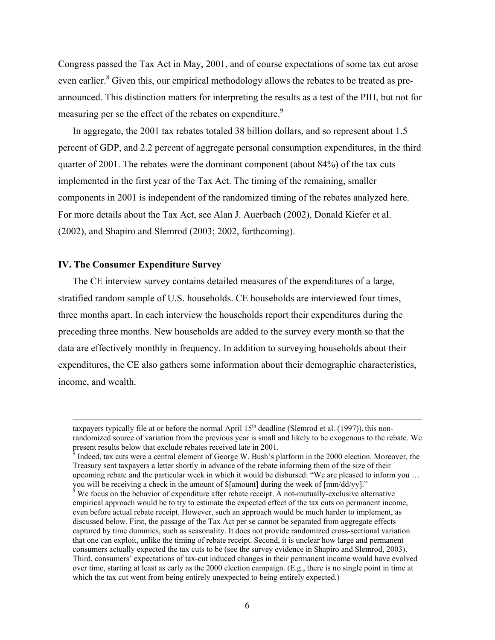Congress passed the Tax Act in May, 2001, and of course expectations of some tax cut arose even earlier. $8$  Given this, our empirical methodology allows the rebates to be treated as preannounced. This distinction matters for interpreting the results as a test of the PIH, but not for measuring per se the effect of the rebates on expenditure.<sup>9</sup>

In aggregate, the 2001 tax rebates totaled 38 billion dollars, and so represent about 1.5 percent of GDP, and 2.2 percent of aggregate personal consumption expenditures, in the third quarter of 2001. The rebates were the dominant component (about 84%) of the tax cuts implemented in the first year of the Tax Act. The timing of the remaining, smaller components in 2001 is independent of the randomized timing of the rebates analyzed here. For more details about the Tax Act, see Alan J. Auerbach (2002), Donald Kiefer et al. (2002), and Shapiro and Slemrod (2003; 2002, forthcoming).

#### **IV. The Consumer Expenditure Survey**

The CE interview survey contains detailed measures of the expenditures of a large, stratified random sample of U.S. households. CE households are interviewed four times, three months apart. In each interview the households report their expenditures during the preceding three months. New households are added to the survey every month so that the data are effectively monthly in frequency. In addition to surveying households about their expenditures, the CE also gathers some information about their demographic characteristics, income, and wealth.

taxpayers typically file at or before the normal April  $15<sup>th</sup>$  deadline (Slemrod et al. (1997)), this nonrandomized source of variation from the previous year is small and likely to be exogenous to the rebate. We present results below that exclude rebates received late in 2001.

 $\frac{8}{8}$  Indeed, tax cuts were a central element of George W. Bush's platform in the 2000 election. Moreover, the Treasury sent taxpayers a letter shortly in advance of the rebate informing them of the size of their upcoming rebate and the particular week in which it would be disbursed: "We are pleased to inform you …

you will be receiving a check in the amount of \$[amount] during the week of [mm/dd/yy]."<br><sup>9</sup> We focus on the behavior of expenditure after rebate receipt. A not-mutually-exclusive alternative empirical approach would be to try to estimate the expected effect of the tax cuts on permanent income, even before actual rebate receipt. However, such an approach would be much harder to implement, as discussed below. First, the passage of the Tax Act per se cannot be separated from aggregate effects captured by time dummies, such as seasonality. It does not provide randomized cross-sectional variation that one can exploit, unlike the timing of rebate receipt. Second, it is unclear how large and permanent consumers actually expected the tax cuts to be (see the survey evidence in Shapiro and Slemrod, 2003). Third, consumers' expectations of tax-cut induced changes in their permanent income would have evolved over time, starting at least as early as the 2000 election campaign. (E.g., there is no single point in time at which the tax cut went from being entirely unexpected to being entirely expected.)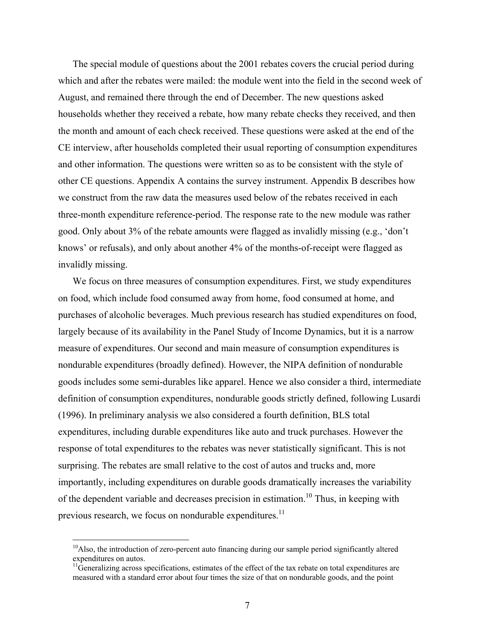The special module of questions about the 2001 rebates covers the crucial period during which and after the rebates were mailed: the module went into the field in the second week of August, and remained there through the end of December. The new questions asked households whether they received a rebate, how many rebate checks they received, and then the month and amount of each check received. These questions were asked at the end of the CE interview, after households completed their usual reporting of consumption expenditures and other information. The questions were written so as to be consistent with the style of other CE questions. Appendix A contains the survey instrument. Appendix B describes how we construct from the raw data the measures used below of the rebates received in each three-month expenditure reference-period. The response rate to the new module was rather good. Only about 3% of the rebate amounts were flagged as invalidly missing (e.g., 'don't knows' or refusals), and only about another 4% of the months-of-receipt were flagged as invalidly missing.

We focus on three measures of consumption expenditures. First, we study expenditures on food, which include food consumed away from home, food consumed at home, and purchases of alcoholic beverages. Much previous research has studied expenditures on food, largely because of its availability in the Panel Study of Income Dynamics, but it is a narrow measure of expenditures. Our second and main measure of consumption expenditures is nondurable expenditures (broadly defined). However, the NIPA definition of nondurable goods includes some semi-durables like apparel. Hence we also consider a third, intermediate definition of consumption expenditures, nondurable goods strictly defined, following Lusardi (1996). In preliminary analysis we also considered a fourth definition, BLS total expenditures, including durable expenditures like auto and truck purchases. However the response of total expenditures to the rebates was never statistically significant. This is not surprising. The rebates are small relative to the cost of autos and trucks and, more importantly, including expenditures on durable goods dramatically increases the variability of the dependent variable and decreases precision in estimation.<sup>10</sup> Thus, in keeping with previous research, we focus on nondurable expenditures.<sup>11</sup>

 $10$ Also, the introduction of zero-percent auto financing during our sample period significantly altered expenditures on autos.

 $11$ Generalizing across specifications, estimates of the effect of the tax rebate on total expenditures are measured with a standard error about four times the size of that on nondurable goods, and the point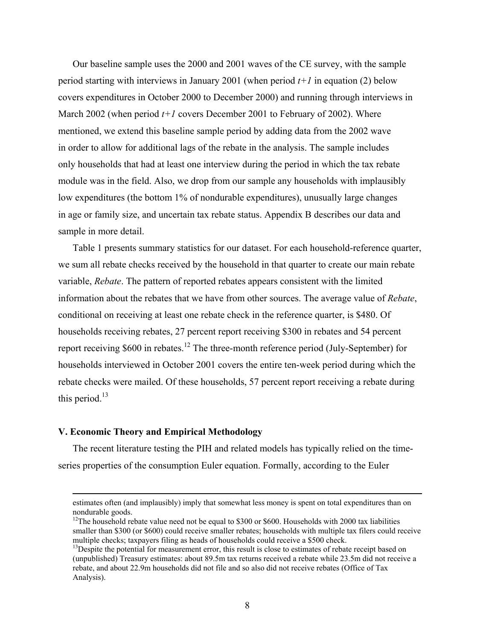Our baseline sample uses the 2000 and 2001 waves of the CE survey, with the sample period starting with interviews in January 2001 (when period *t+1* in equation (2) below covers expenditures in October 2000 to December 2000) and running through interviews in March 2002 (when period *t+1* covers December 2001 to February of 2002). Where mentioned, we extend this baseline sample period by adding data from the 2002 wave in order to allow for additional lags of the rebate in the analysis. The sample includes only households that had at least one interview during the period in which the tax rebate module was in the field. Also, we drop from our sample any households with implausibly low expenditures (the bottom 1% of nondurable expenditures), unusually large changes in age or family size, and uncertain tax rebate status. Appendix B describes our data and sample in more detail.

Table 1 presents summary statistics for our dataset. For each household-reference quarter, we sum all rebate checks received by the household in that quarter to create our main rebate variable, *Rebate*. The pattern of reported rebates appears consistent with the limited information about the rebates that we have from other sources. The average value of *Rebate*, conditional on receiving at least one rebate check in the reference quarter, is \$480. Of households receiving rebates, 27 percent report receiving \$300 in rebates and 54 percent report receiving \$600 in rebates.<sup>12</sup> The three-month reference period (July-September) for households interviewed in October 2001 covers the entire ten-week period during which the rebate checks were mailed. Of these households, 57 percent report receiving a rebate during this period. $^{13}$ 

#### **V. Economic Theory and Empirical Methodology**

The recent literature testing the PIH and related models has typically relied on the timeseries properties of the consumption Euler equation. Formally, according to the Euler

estimates often (and implausibly) imply that somewhat less money is spent on total expenditures than on nondurable goods.

<sup>&</sup>lt;sup>12</sup>The household rebate value need not be equal to \$300 or \$600. Households with 2000 tax liabilities smaller than \$300 (or \$600) could receive smaller rebates; households with multiple tax filers could receive multiple checks; taxpayers filing as heads of households could receive a \$500 check.<br><sup>13</sup>Despite the potential for measurement error, this result is close to estimates of rebate receipt based on

<sup>(</sup>unpublished) Treasury estimates: about 89.5m tax returns received a rebate while 23.5m did not receive a rebate, and about 22.9m households did not file and so also did not receive rebates (Office of Tax Analysis).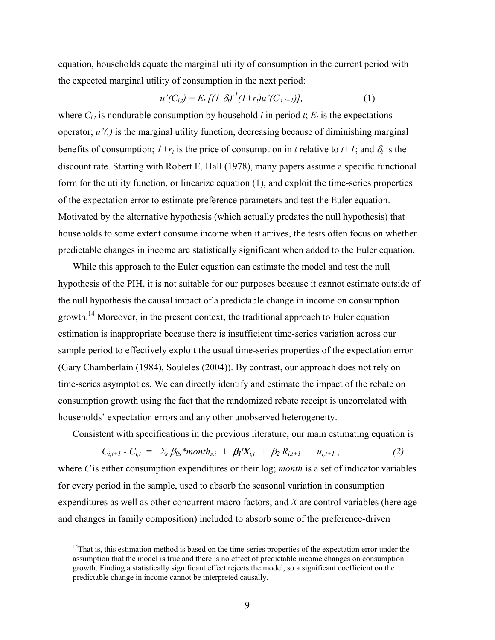equation, households equate the marginal utility of consumption in the current period with the expected marginal utility of consumption in the next period:

$$
u'(C_{i,t}) = E_t \left[ (1 - \delta_0)^{-1} (1 + r_t) u'(C_{i,t+1}) \right], \tag{1}
$$

where  $C_{i,t}$  is nondurable consumption by household *i* in period *t*;  $E_t$  is the expectations operator; *u'(.)* is the marginal utility function, decreasing because of diminishing marginal benefits of consumption;  $I+r_t$  is the price of consumption in *t* relative to  $t+1$ ; and  $\delta_t$  is the discount rate. Starting with Robert E. Hall (1978), many papers assume a specific functional form for the utility function, or linearize equation (1), and exploit the time-series properties of the expectation error to estimate preference parameters and test the Euler equation. Motivated by the alternative hypothesis (which actually predates the null hypothesis) that households to some extent consume income when it arrives, the tests often focus on whether predictable changes in income are statistically significant when added to the Euler equation.

While this approach to the Euler equation can estimate the model and test the null hypothesis of the PIH, it is not suitable for our purposes because it cannot estimate outside of the null hypothesis the causal impact of a predictable change in income on consumption growth.14 Moreover, in the present context, the traditional approach to Euler equation estimation is inappropriate because there is insufficient time-series variation across our sample period to effectively exploit the usual time-series properties of the expectation error (Gary Chamberlain (1984), Souleles (2004)). By contrast, our approach does not rely on time-series asymptotics. We can directly identify and estimate the impact of the rebate on consumption growth using the fact that the randomized rebate receipt is uncorrelated with households' expectation errors and any other unobserved heterogeneity.

Consistent with specifications in the previous literature, our main estimating equation is

$$
C_{i,t+1} - C_{i,t} = \Sigma_s \beta_{0s}^* \text{month}_{s,i} + \beta_1 X_{i,t} + \beta_2 R_{i,t+1} + u_{i,t+1}, \qquad (2)
$$

where *C*is either consumption expenditures or their log; *month* is a set of indicator variables for every period in the sample, used to absorb the seasonal variation in consumption expenditures as well as other concurrent macro factors; and *X* are control variables (here age and changes in family composition) included to absorb some of the preference-driven

 $14$ That is, this estimation method is based on the time-series properties of the expectation error under the assumption that the model is true and there is no effect of predictable income changes on consumption growth. Finding a statistically significant effect rejects the model, so a significant coefficient on the predictable change in income cannot be interpreted causally.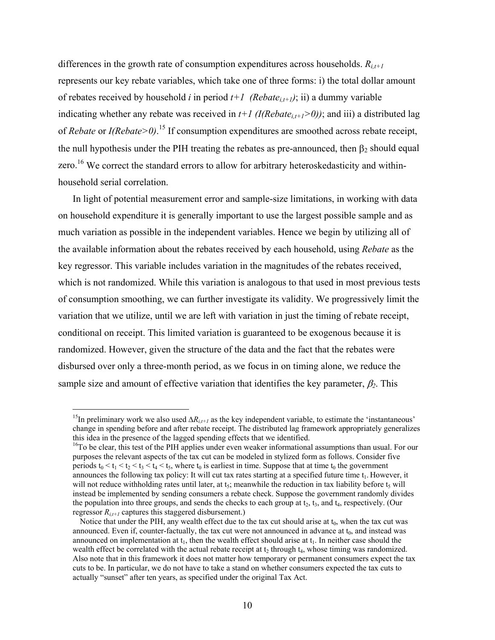differences in the growth rate of consumption expenditures across households.  $R_{i,t+1}$ represents our key rebate variables, which take one of three forms: i) the total dollar amount of rebates received by household *i* in period  $t+1$  (*Rebate*<sub>it+1</sub>); ii) a dummy variable indicating whether any rebate was received in  $t+1$  (*I*(Rebate<sub>i,t+1</sub>>0)); and iii) a distributed lag of *Rebate* or *I(Rebate>0)*. 15 If consumption expenditures are smoothed across rebate receipt, the null hypothesis under the PIH treating the rebates as pre-announced, then  $\beta_2$  should equal zero.<sup>16</sup> We correct the standard errors to allow for arbitrary heteroskedasticity and withinhousehold serial correlation.

 In light of potential measurement error and sample-size limitations, in working with data on household expenditure it is generally important to use the largest possible sample and as much variation as possible in the independent variables. Hence we begin by utilizing all of the available information about the rebates received by each household, using *Rebate* as the key regressor. This variable includes variation in the magnitudes of the rebates received, which is not randomized. While this variation is analogous to that used in most previous tests of consumption smoothing, we can further investigate its validity. We progressively limit the variation that we utilize, until we are left with variation in just the timing of rebate receipt, conditional on receipt. This limited variation is guaranteed to be exogenous because it is randomized. However, given the structure of the data and the fact that the rebates were disbursed over only a three-month period, as we focus in on timing alone, we reduce the sample size and amount of effective variation that identifies the key parameter,  $\beta_2$ . This

<sup>&</sup>lt;sup>15</sup>In preliminary work we also used  $\Delta R_{i,i+1}$  as the key independent variable, to estimate the 'instantaneous' change in spending before and after rebate receipt. The distributed lag framework appropriately generalizes this idea in the presence of the lagged spending effects that we identified.<br><sup>16</sup>To be clear, this test of the PIH applies under even weaker informational assumptions than usual. For our

purposes the relevant aspects of the tax cut can be modeled in stylized form as follows. Consider five periods  $t_0 < t_1 < t_2 < t_3 < t_4 < t_5$ , where  $t_0$  is earliest in time. Suppose that at time  $t_0$  the government announces the following tax policy: It will cut tax rates starting at a specified future time  $t_1$ . However, it will not reduce withholding rates until later, at  $t_5$ ; meanwhile the reduction in tax liability before  $t_5$  will instead be implemented by sending consumers a rebate check. Suppose the government randomly divides the population into three groups, and sends the checks to each group at  $t_2$ ,  $t_3$ , and  $t_4$ , respectively. (Our regressor  $R_{i,t+1}$  captures this staggered disbursement.)

Notice that under the PIH, any wealth effect due to the tax cut should arise at  $t_0$ , when the tax cut was announced. Even if, counter-factually, the tax cut were not announced in advance at  $t_0$ , and instead was announced on implementation at  $t_1$ , then the wealth effect should arise at  $t_1$ . In neither case should the wealth effect be correlated with the actual rebate receipt at  $t_2$  through  $t_4$ , whose timing was randomized. Also note that in this framework it does not matter how temporary or permanent consumers expect the tax cuts to be. In particular, we do not have to take a stand on whether consumers expected the tax cuts to actually "sunset" after ten years, as specified under the original Tax Act.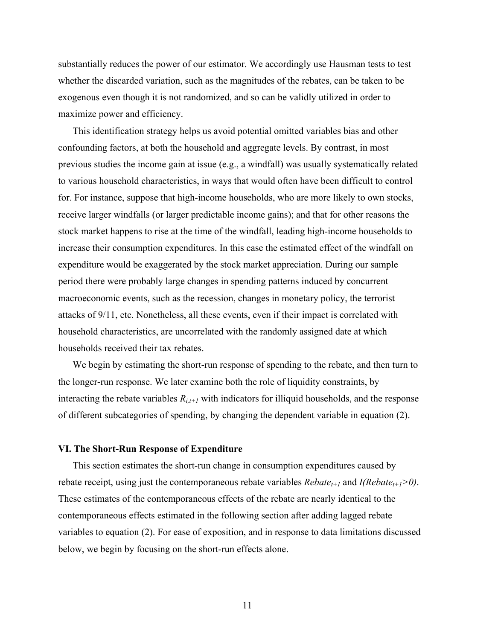substantially reduces the power of our estimator. We accordingly use Hausman tests to test whether the discarded variation, such as the magnitudes of the rebates, can be taken to be exogenous even though it is not randomized, and so can be validly utilized in order to maximize power and efficiency.

This identification strategy helps us avoid potential omitted variables bias and other confounding factors, at both the household and aggregate levels. By contrast, in most previous studies the income gain at issue (e.g., a windfall) was usually systematically related to various household characteristics, in ways that would often have been difficult to control for. For instance, suppose that high-income households, who are more likely to own stocks, receive larger windfalls (or larger predictable income gains); and that for other reasons the stock market happens to rise at the time of the windfall, leading high-income households to increase their consumption expenditures. In this case the estimated effect of the windfall on expenditure would be exaggerated by the stock market appreciation. During our sample period there were probably large changes in spending patterns induced by concurrent macroeconomic events, such as the recession, changes in monetary policy, the terrorist attacks of 9/11, etc. Nonetheless, all these events, even if their impact is correlated with household characteristics, are uncorrelated with the randomly assigned date at which households received their tax rebates.

We begin by estimating the short-run response of spending to the rebate, and then turn to the longer-run response. We later examine both the role of liquidity constraints, by interacting the rebate variables  $R_{i,t+1}$  with indicators for illiquid households, and the response of different subcategories of spending, by changing the dependent variable in equation (2).

#### **VI. The Short-Run Response of Expenditure**

This section estimates the short-run change in consumption expenditures caused by rebate receipt, using just the contemporaneous rebate variables  $Rebate_{t+1}$  and  $I(Rebate_{t+1}>0)$ . These estimates of the contemporaneous effects of the rebate are nearly identical to the contemporaneous effects estimated in the following section after adding lagged rebate variables to equation (2). For ease of exposition, and in response to data limitations discussed below, we begin by focusing on the short-run effects alone.

11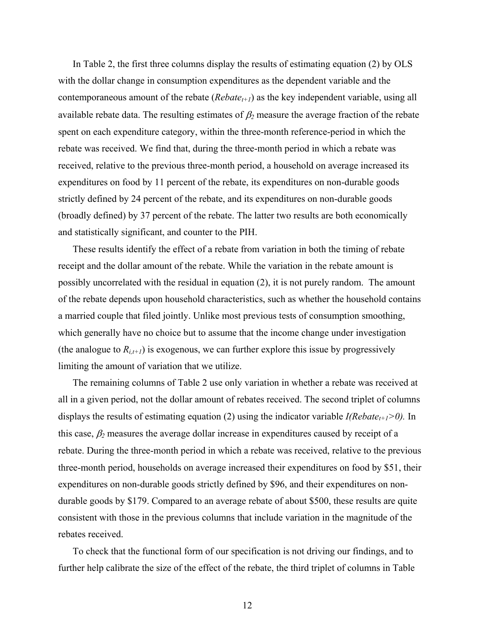In Table 2, the first three columns display the results of estimating equation (2) by OLS with the dollar change in consumption expenditures as the dependent variable and the contemporaneous amount of the rebate  $(Rebate_{t+1})$  as the key independent variable, using all available rebate data. The resulting estimates of  $\beta_2$  measure the average fraction of the rebate spent on each expenditure category, within the three-month reference-period in which the rebate was received. We find that, during the three-month period in which a rebate was received, relative to the previous three-month period, a household on average increased its expenditures on food by 11 percent of the rebate, its expenditures on non-durable goods strictly defined by 24 percent of the rebate, and its expenditures on non-durable goods (broadly defined) by 37 percent of the rebate. The latter two results are both economically and statistically significant, and counter to the PIH.

These results identify the effect of a rebate from variation in both the timing of rebate receipt and the dollar amount of the rebate. While the variation in the rebate amount is possibly uncorrelated with the residual in equation (2), it is not purely random. The amount of the rebate depends upon household characteristics, such as whether the household contains a married couple that filed jointly. Unlike most previous tests of consumption smoothing, which generally have no choice but to assume that the income change under investigation (the analogue to  $R_{i,t+1}$ ) is exogenous, we can further explore this issue by progressively limiting the amount of variation that we utilize.

The remaining columns of Table 2 use only variation in whether a rebate was received at all in a given period, not the dollar amount of rebates received. The second triplet of columns displays the results of estimating equation (2) using the indicator variable  $I(Rebate_{t+1} > 0)$ . In this case,  $\beta_2$  measures the average dollar increase in expenditures caused by receipt of a rebate. During the three-month period in which a rebate was received, relative to the previous three-month period, households on average increased their expenditures on food by \$51, their expenditures on non-durable goods strictly defined by \$96, and their expenditures on nondurable goods by \$179. Compared to an average rebate of about \$500, these results are quite consistent with those in the previous columns that include variation in the magnitude of the rebates received.

To check that the functional form of our specification is not driving our findings, and to further help calibrate the size of the effect of the rebate, the third triplet of columns in Table

12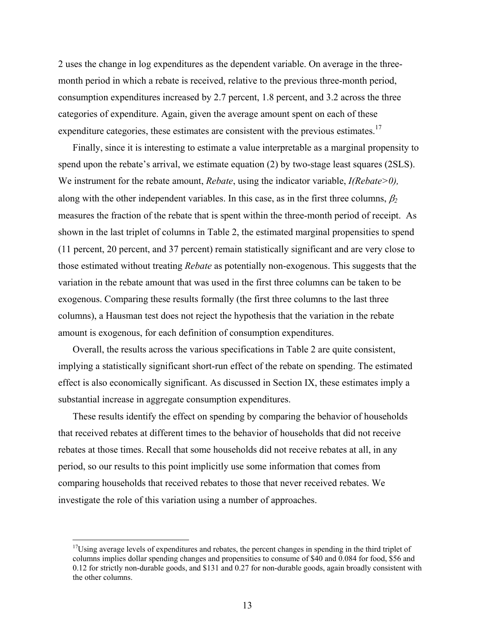2 uses the change in log expenditures as the dependent variable. On average in the threemonth period in which a rebate is received, relative to the previous three-month period, consumption expenditures increased by 2.7 percent, 1.8 percent, and 3.2 across the three categories of expenditure. Again, given the average amount spent on each of these expenditure categories, these estimates are consistent with the previous estimates.<sup>17</sup>

Finally, since it is interesting to estimate a value interpretable as a marginal propensity to spend upon the rebate's arrival, we estimate equation (2) by two-stage least squares (2SLS). We instrument for the rebate amount, *Rebate*, using the indicator variable, *I(Rebate>0),*  along with the other independent variables. In this case, as in the first three columns, β*<sup>2</sup>* measures the fraction of the rebate that is spent within the three-month period of receipt. As shown in the last triplet of columns in Table 2, the estimated marginal propensities to spend (11 percent, 20 percent, and 37 percent) remain statistically significant and are very close to those estimated without treating *Rebate* as potentially non-exogenous. This suggests that the variation in the rebate amount that was used in the first three columns can be taken to be exogenous. Comparing these results formally (the first three columns to the last three columns), a Hausman test does not reject the hypothesis that the variation in the rebate amount is exogenous, for each definition of consumption expenditures.

Overall, the results across the various specifications in Table 2 are quite consistent, implying a statistically significant short-run effect of the rebate on spending. The estimated effect is also economically significant. As discussed in Section IX, these estimates imply a substantial increase in aggregate consumption expenditures.

These results identify the effect on spending by comparing the behavior of households that received rebates at different times to the behavior of households that did not receive rebates at those times. Recall that some households did not receive rebates at all, in any period, so our results to this point implicitly use some information that comes from comparing households that received rebates to those that never received rebates. We investigate the role of this variation using a number of approaches.

<u>.</u>

<sup>&</sup>lt;sup>17</sup>Using average levels of expenditures and rebates, the percent changes in spending in the third triplet of columns implies dollar spending changes and propensities to consume of \$40 and 0.084 for food, \$56 and 0.12 for strictly non-durable goods, and \$131 and 0.27 for non-durable goods, again broadly consistent with the other columns.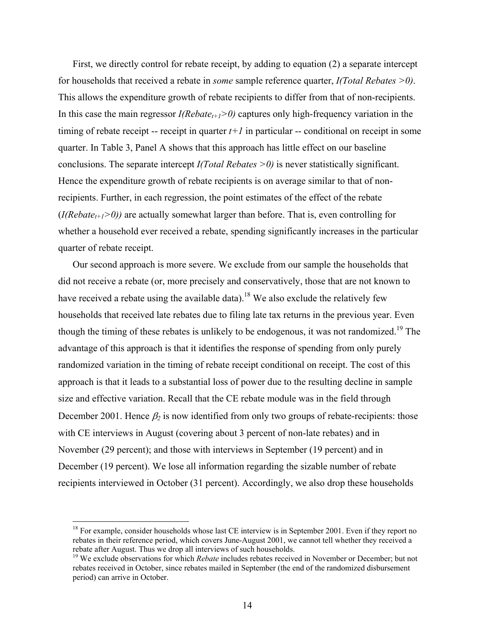First, we directly control for rebate receipt, by adding to equation (2) a separate intercept for households that received a rebate in *some* sample reference quarter, *I(Total Rebates >0)*. This allows the expenditure growth of rebate recipients to differ from that of non-recipients. In this case the main regressor  $I(Rebate_{t+1} > 0)$  captures only high-frequency variation in the timing of rebate receipt -- receipt in quarter  $t+1$  in particular -- conditional on receipt in some quarter. In Table 3, Panel A shows that this approach has little effect on our baseline conclusions. The separate intercept *I(Total Rebates >0)* is never statistically significant. Hence the expenditure growth of rebate recipients is on average similar to that of nonrecipients. Further, in each regression, the point estimates of the effect of the rebate  $(I(Rebate_{t+1}>0))$  are actually somewhat larger than before. That is, even controlling for whether a household ever received a rebate, spending significantly increases in the particular quarter of rebate receipt.

Our second approach is more severe. We exclude from our sample the households that did not receive a rebate (or, more precisely and conservatively, those that are not known to have received a rebate using the available data).<sup>18</sup> We also exclude the relatively few households that received late rebates due to filing late tax returns in the previous year. Even though the timing of these rebates is unlikely to be endogenous, it was not randomized.<sup>19</sup> The advantage of this approach is that it identifies the response of spending from only purely randomized variation in the timing of rebate receipt conditional on receipt. The cost of this approach is that it leads to a substantial loss of power due to the resulting decline in sample size and effective variation. Recall that the CE rebate module was in the field through December 2001. Hence *β*<sup>2</sup> is now identified from only two groups of rebate-recipients: those with CE interviews in August (covering about 3 percent of non-late rebates) and in November (29 percent); and those with interviews in September (19 percent) and in December (19 percent). We lose all information regarding the sizable number of rebate recipients interviewed in October (31 percent). Accordingly, we also drop these households

<sup>&</sup>lt;sup>18</sup> For example, consider households whose last CE interview is in September 2001. Even if they report no rebates in their reference period, which covers June-August 2001, we cannot tell whether they received a rebate after August. Thus we drop all interviews of such households.

<sup>&</sup>lt;sup>19</sup> We exclude observations for which *Rebate* includes rebates received in November or December; but not rebates received in October, since rebates mailed in September (the end of the randomized disbursement period) can arrive in October.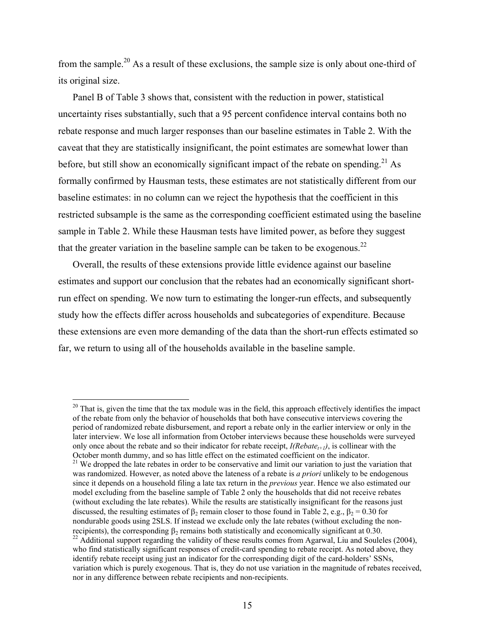from the sample.20 As a result of these exclusions, the sample size is only about one-third of its original size.

Panel B of Table 3 shows that, consistent with the reduction in power, statistical uncertainty rises substantially, such that a 95 percent confidence interval contains both no rebate response and much larger responses than our baseline estimates in Table 2. With the caveat that they are statistically insignificant, the point estimates are somewhat lower than before, but still show an economically significant impact of the rebate on spending.<sup>21</sup> As formally confirmed by Hausman tests, these estimates are not statistically different from our baseline estimates: in no column can we reject the hypothesis that the coefficient in this restricted subsample is the same as the corresponding coefficient estimated using the baseline sample in Table 2. While these Hausman tests have limited power, as before they suggest that the greater variation in the baseline sample can be taken to be exogenous.<sup>22</sup>

Overall, the results of these extensions provide little evidence against our baseline estimates and support our conclusion that the rebates had an economically significant shortrun effect on spending. We now turn to estimating the longer-run effects, and subsequently study how the effects differ across households and subcategories of expenditure. Because these extensions are even more demanding of the data than the short-run effects estimated so far, we return to using all of the households available in the baseline sample.

<sup>&</sup>lt;sup>20</sup> That is, given the time that the tax module was in the field, this approach effectively identifies the impact of the rebate from only the behavior of households that both have consecutive interviews covering the period of randomized rebate disbursement, and report a rebate only in the earlier interview or only in the later interview. We lose all information from October interviews because these households were surveyed only once about the rebate and so their indicator for rebate receipt,  $I(Rebate_{t+1})$ , is collinear with the October month dummy, and so has little effect on the estimated coefficient on the indicator.

<sup>&</sup>lt;sup>21</sup> We dropped the late rebates in order to be conservative and limit our variation to just the variation that was randomized. However, as noted above the lateness of a rebate is *a priori* unlikely to be endogenous since it depends on a household filing a late tax return in the *previous* year. Hence we also estimated our model excluding from the baseline sample of Table 2 only the households that did not receive rebates (without excluding the late rebates). While the results are statistically insignificant for the reasons just discussed, the resulting estimates of  $\beta_2$  remain closer to those found in Table 2, e.g.,  $\beta_2 = 0.30$  for nondurable goods using 2SLS. If instead we exclude only the late rebates (without excluding the nonrecipients), the corresponding  $β_2$  remains both statistically and economically significant at 0.30.<br><sup>22</sup> Additional support regarding the validity of these results comes from Agarwal, Liu and Souleles (2004), who find statistically significant responses of credit-card spending to rebate receipt. As noted above, they identify rebate receipt using just an indicator for the corresponding digit of the card-holders' SSNs, variation which is purely exogenous. That is, they do not use variation in the magnitude of rebates received, nor in any difference between rebate recipients and non-recipients.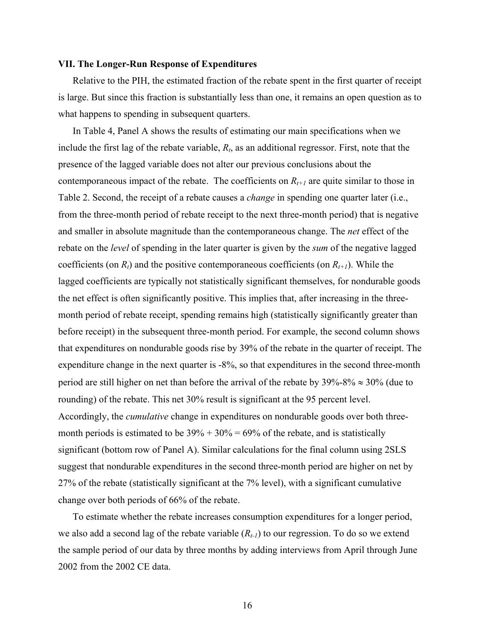#### **VII. The Longer-Run Response of Expenditures**

 Relative to the PIH, the estimated fraction of the rebate spent in the first quarter of receipt is large. But since this fraction is substantially less than one, it remains an open question as to what happens to spending in subsequent quarters.

In Table 4, Panel A shows the results of estimating our main specifications when we include the first lag of the rebate variable, *Rt*, as an additional regressor. First, note that the presence of the lagged variable does not alter our previous conclusions about the contemporaneous impact of the rebate. The coefficients on  $R_{t+1}$  are quite similar to those in Table 2. Second, the receipt of a rebate causes a *change* in spending one quarter later (i.e., from the three-month period of rebate receipt to the next three-month period) that is negative and smaller in absolute magnitude than the contemporaneous change. The *net* effect of the rebate on the *level* of spending in the later quarter is given by the *sum* of the negative lagged coefficients (on  $R_t$ ) and the positive contemporaneous coefficients (on  $R_{t+1}$ ). While the lagged coefficients are typically not statistically significant themselves, for nondurable goods the net effect is often significantly positive. This implies that, after increasing in the threemonth period of rebate receipt, spending remains high (statistically significantly greater than before receipt) in the subsequent three-month period. For example, the second column shows that expenditures on nondurable goods rise by 39% of the rebate in the quarter of receipt. The expenditure change in the next quarter is -8%, so that expenditures in the second three-month period are still higher on net than before the arrival of the rebate by  $39\% - 8\% \approx 30\%$  (due to rounding) of the rebate. This net 30% result is significant at the 95 percent level. Accordingly, the *cumulative* change in expenditures on nondurable goods over both threemonth periods is estimated to be  $39\% + 30\% = 69\%$  of the rebate, and is statistically significant (bottom row of Panel A). Similar calculations for the final column using 2SLS suggest that nondurable expenditures in the second three-month period are higher on net by 27% of the rebate (statistically significant at the 7% level), with a significant cumulative change over both periods of 66% of the rebate.

To estimate whether the rebate increases consumption expenditures for a longer period, we also add a second lag of the rebate variable  $(R_{t-1})$  to our regression. To do so we extend the sample period of our data by three months by adding interviews from April through June 2002 from the 2002 CE data.

16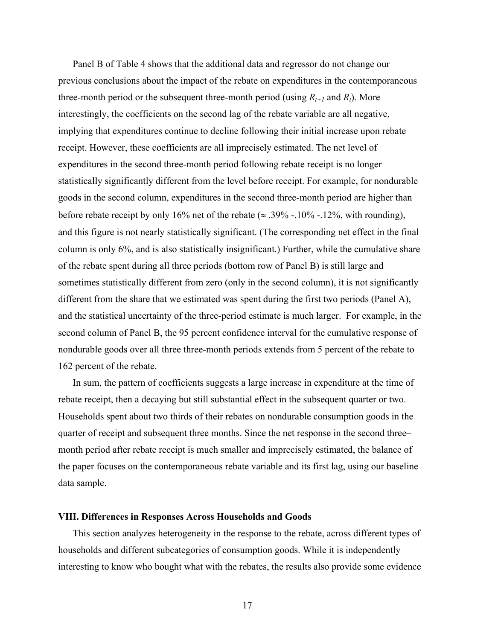Panel B of Table 4 shows that the additional data and regressor do not change our previous conclusions about the impact of the rebate on expenditures in the contemporaneous three-month period or the subsequent three-month period (using  $R_{t+1}$  and  $R_t$ ). More interestingly, the coefficients on the second lag of the rebate variable are all negative, implying that expenditures continue to decline following their initial increase upon rebate receipt. However, these coefficients are all imprecisely estimated. The net level of expenditures in the second three-month period following rebate receipt is no longer statistically significantly different from the level before receipt. For example, for nondurable goods in the second column, expenditures in the second three-month period are higher than before rebate receipt by only 16% net of the rebate ( $\approx$  .39% -.10% -.12%, with rounding), and this figure is not nearly statistically significant. (The corresponding net effect in the final column is only 6%, and is also statistically insignificant.) Further, while the cumulative share of the rebate spent during all three periods (bottom row of Panel B) is still large and sometimes statistically different from zero (only in the second column), it is not significantly different from the share that we estimated was spent during the first two periods (Panel A), and the statistical uncertainty of the three-period estimate is much larger. For example, in the second column of Panel B, the 95 percent confidence interval for the cumulative response of nondurable goods over all three three-month periods extends from 5 percent of the rebate to 162 percent of the rebate.

In sum, the pattern of coefficients suggests a large increase in expenditure at the time of rebate receipt, then a decaying but still substantial effect in the subsequent quarter or two. Households spent about two thirds of their rebates on nondurable consumption goods in the quarter of receipt and subsequent three months. Since the net response in the second three– month period after rebate receipt is much smaller and imprecisely estimated, the balance of the paper focuses on the contemporaneous rebate variable and its first lag, using our baseline data sample.

#### **VIII. Differences in Responses Across Households and Goods**

This section analyzes heterogeneity in the response to the rebate, across different types of households and different subcategories of consumption goods. While it is independently interesting to know who bought what with the rebates, the results also provide some evidence

17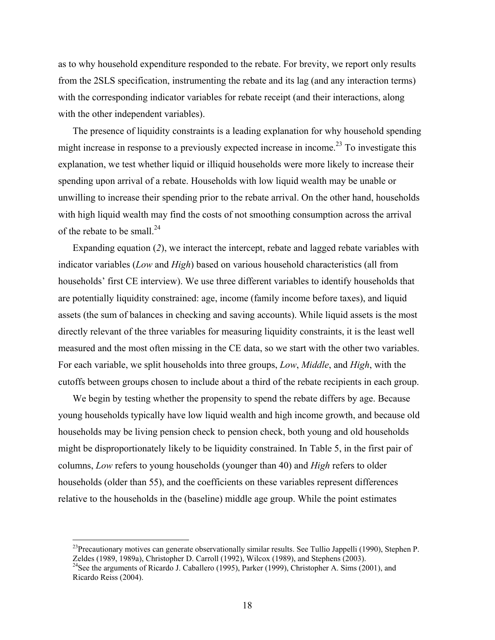as to why household expenditure responded to the rebate. For brevity, we report only results from the 2SLS specification, instrumenting the rebate and its lag (and any interaction terms) with the corresponding indicator variables for rebate receipt (and their interactions, along with the other independent variables).

The presence of liquidity constraints is a leading explanation for why household spending might increase in response to a previously expected increase in income.<sup>23</sup> To investigate this explanation, we test whether liquid or illiquid households were more likely to increase their spending upon arrival of a rebate. Households with low liquid wealth may be unable or unwilling to increase their spending prior to the rebate arrival. On the other hand, households with high liquid wealth may find the costs of not smoothing consumption across the arrival of the rebate to be small.<sup>24</sup>

Expanding equation (*2*), we interact the intercept, rebate and lagged rebate variables with indicator variables (*Low* and *High*) based on various household characteristics (all from households' first CE interview). We use three different variables to identify households that are potentially liquidity constrained: age, income (family income before taxes), and liquid assets (the sum of balances in checking and saving accounts). While liquid assets is the most directly relevant of the three variables for measuring liquidity constraints, it is the least well measured and the most often missing in the CE data, so we start with the other two variables. For each variable, we split households into three groups, *Low*, *Middle*, and *High*, with the cutoffs between groups chosen to include about a third of the rebate recipients in each group.

We begin by testing whether the propensity to spend the rebate differs by age. Because young households typically have low liquid wealth and high income growth, and because old households may be living pension check to pension check, both young and old households might be disproportionately likely to be liquidity constrained. In Table 5, in the first pair of columns, *Low* refers to young households (younger than 40) and *High* refers to older households (older than 55), and the coefficients on these variables represent differences relative to the households in the (baseline) middle age group. While the point estimates

 $^{23}$ Precautionary motives can generate observationally similar results. See Tullio Jappelli (1990), Stephen P. Zeldes (1989, 1989a), Christopher D. Carroll (1992), Wilcox (1989), and Stephens (2003).

<sup>&</sup>lt;sup>24</sup>See the arguments of Ricardo J. Caballero (1995), Parker (1999), Christopher A. Sims (2001), and Ricardo Reiss (2004).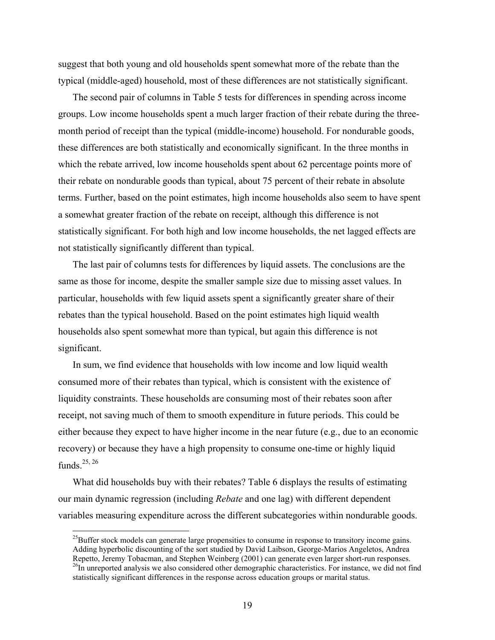suggest that both young and old households spent somewhat more of the rebate than the typical (middle-aged) household, most of these differences are not statistically significant.

The second pair of columns in Table 5 tests for differences in spending across income groups. Low income households spent a much larger fraction of their rebate during the threemonth period of receipt than the typical (middle-income) household. For nondurable goods, these differences are both statistically and economically significant. In the three months in which the rebate arrived, low income households spent about 62 percentage points more of their rebate on nondurable goods than typical, about 75 percent of their rebate in absolute terms. Further, based on the point estimates, high income households also seem to have spent a somewhat greater fraction of the rebate on receipt, although this difference is not statistically significant. For both high and low income households, the net lagged effects are not statistically significantly different than typical.

The last pair of columns tests for differences by liquid assets. The conclusions are the same as those for income, despite the smaller sample size due to missing asset values. In particular, households with few liquid assets spent a significantly greater share of their rebates than the typical household. Based on the point estimates high liquid wealth households also spent somewhat more than typical, but again this difference is not significant.

In sum, we find evidence that households with low income and low liquid wealth consumed more of their rebates than typical, which is consistent with the existence of liquidity constraints. These households are consuming most of their rebates soon after receipt, not saving much of them to smooth expenditure in future periods. This could be either because they expect to have higher income in the near future (e.g., due to an economic recovery) or because they have a high propensity to consume one-time or highly liquid funds $25, 26$ 

What did households buy with their rebates? Table 6 displays the results of estimating our main dynamic regression (including *Rebate* and one lag) with different dependent variables measuring expenditure across the different subcategories within nondurable goods.

<sup>&</sup>lt;sup>25</sup>Buffer stock models can generate large propensities to consume in response to transitory income gains. Adding hyperbolic discounting of the sort studied by David Laibson, George-Marios Angeletos, Andrea Repetto, Jeremy Tobacman, and Stephen Weinberg (2001) can generate even larger short-run responses. <sup>26</sup>In unreported analysis we also considered other demographic characteristics. For instance, we did not find statistically significant differences in the response across education groups or marital status.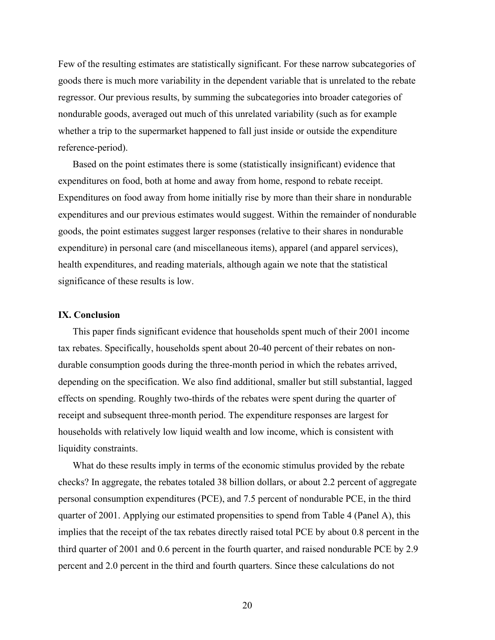Few of the resulting estimates are statistically significant. For these narrow subcategories of goods there is much more variability in the dependent variable that is unrelated to the rebate regressor. Our previous results, by summing the subcategories into broader categories of nondurable goods, averaged out much of this unrelated variability (such as for example whether a trip to the supermarket happened to fall just inside or outside the expenditure reference-period).

Based on the point estimates there is some (statistically insignificant) evidence that expenditures on food, both at home and away from home, respond to rebate receipt. Expenditures on food away from home initially rise by more than their share in nondurable expenditures and our previous estimates would suggest. Within the remainder of nondurable goods, the point estimates suggest larger responses (relative to their shares in nondurable expenditure) in personal care (and miscellaneous items), apparel (and apparel services), health expenditures, and reading materials, although again we note that the statistical significance of these results is low.

#### **IX. Conclusion**

This paper finds significant evidence that households spent much of their 2001 income tax rebates. Specifically, households spent about 20-40 percent of their rebates on nondurable consumption goods during the three-month period in which the rebates arrived, depending on the specification. We also find additional, smaller but still substantial, lagged effects on spending. Roughly two-thirds of the rebates were spent during the quarter of receipt and subsequent three-month period. The expenditure responses are largest for households with relatively low liquid wealth and low income, which is consistent with liquidity constraints.

What do these results imply in terms of the economic stimulus provided by the rebate checks? In aggregate, the rebates totaled 38 billion dollars, or about 2.2 percent of aggregate personal consumption expenditures (PCE), and 7.5 percent of nondurable PCE, in the third quarter of 2001. Applying our estimated propensities to spend from Table 4 (Panel A), this implies that the receipt of the tax rebates directly raised total PCE by about 0.8 percent in the third quarter of 2001 and 0.6 percent in the fourth quarter, and raised nondurable PCE by 2.9 percent and 2.0 percent in the third and fourth quarters. Since these calculations do not

20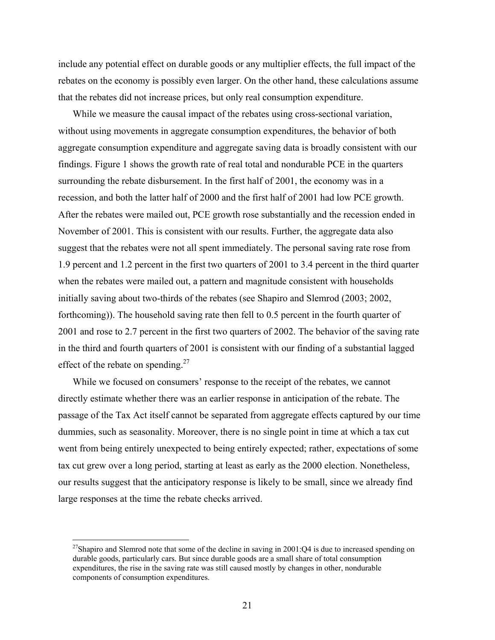include any potential effect on durable goods or any multiplier effects, the full impact of the rebates on the economy is possibly even larger. On the other hand, these calculations assume that the rebates did not increase prices, but only real consumption expenditure.

While we measure the causal impact of the rebates using cross-sectional variation, without using movements in aggregate consumption expenditures, the behavior of both aggregate consumption expenditure and aggregate saving data is broadly consistent with our findings. Figure 1 shows the growth rate of real total and nondurable PCE in the quarters surrounding the rebate disbursement. In the first half of 2001, the economy was in a recession, and both the latter half of 2000 and the first half of 2001 had low PCE growth. After the rebates were mailed out, PCE growth rose substantially and the recession ended in November of 2001. This is consistent with our results. Further, the aggregate data also suggest that the rebates were not all spent immediately. The personal saving rate rose from 1.9 percent and 1.2 percent in the first two quarters of 2001 to 3.4 percent in the third quarter when the rebates were mailed out, a pattern and magnitude consistent with households initially saving about two-thirds of the rebates (see Shapiro and Slemrod (2003; 2002, forthcoming)). The household saving rate then fell to 0.5 percent in the fourth quarter of 2001 and rose to 2.7 percent in the first two quarters of 2002. The behavior of the saving rate in the third and fourth quarters of 2001 is consistent with our finding of a substantial lagged effect of the rebate on spending.<sup>27</sup>

While we focused on consumers' response to the receipt of the rebates, we cannot directly estimate whether there was an earlier response in anticipation of the rebate. The passage of the Tax Act itself cannot be separated from aggregate effects captured by our time dummies, such as seasonality. Moreover, there is no single point in time at which a tax cut went from being entirely unexpected to being entirely expected; rather, expectations of some tax cut grew over a long period, starting at least as early as the 2000 election. Nonetheless, our results suggest that the anticipatory response is likely to be small, since we already find large responses at the time the rebate checks arrived.

<sup>&</sup>lt;sup>27</sup>Shapiro and Slemrod note that some of the decline in saving in 2001:Q4 is due to increased spending on durable goods, particularly cars. But since durable goods are a small share of total consumption expenditures, the rise in the saving rate was still caused mostly by changes in other, nondurable components of consumption expenditures.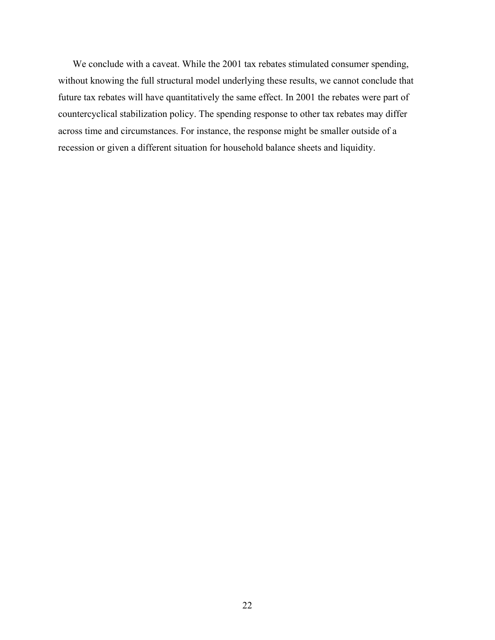We conclude with a caveat. While the 2001 tax rebates stimulated consumer spending, without knowing the full structural model underlying these results, we cannot conclude that future tax rebates will have quantitatively the same effect. In 2001 the rebates were part of countercyclical stabilization policy. The spending response to other tax rebates may differ across time and circumstances. For instance, the response might be smaller outside of a recession or given a different situation for household balance sheets and liquidity.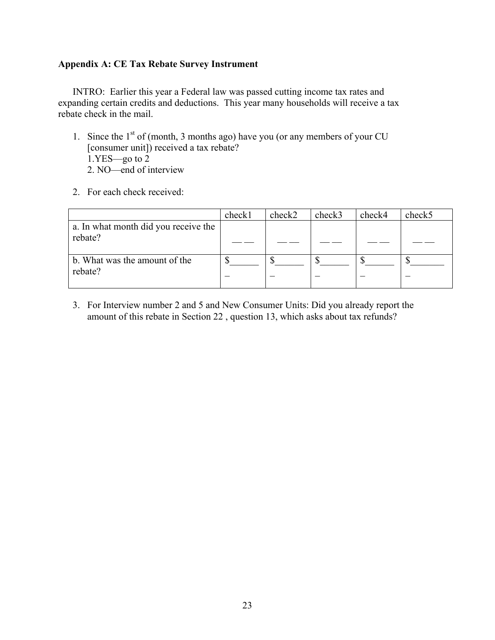#### **Appendix A: CE Tax Rebate Survey Instrument**

INTRO: Earlier this year a Federal law was passed cutting income tax rates and expanding certain credits and deductions. This year many households will receive a tax rebate check in the mail.

- 1. Since the  $1<sup>st</sup>$  of (month, 3 months ago) have you (or any members of your CU [consumer unit]) received a tax rebate? 1.YES—go to 2 2. NO—end of interview
- 2. For each check received:

|                                                 | check1 | check2 | check3 | check4 | check5 |
|-------------------------------------------------|--------|--------|--------|--------|--------|
| a. In what month did you receive the<br>rebate? |        |        |        |        |        |
| b. What was the amount of the<br>rebate?        |        |        |        |        |        |

3. For Interview number 2 and 5 and New Consumer Units: Did you already report the amount of this rebate in Section 22 , question 13, which asks about tax refunds?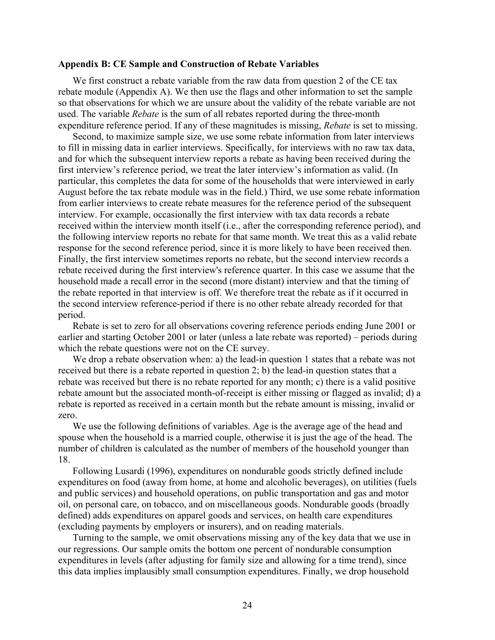#### **Appendix B: CE Sample and Construction of Rebate Variables**

We first construct a rebate variable from the raw data from question 2 of the CE tax rebate module (Appendix A). We then use the flags and other information to set the sample so that observations for which we are unsure about the validity of the rebate variable are not used. The variable *Rebate* is the sum of all rebates reported during the three-month expenditure reference period. If any of these magnitudes is missing, *Rebate* is set to missing.

Second, to maximize sample size, we use some rebate information from later interviews to fill in missing data in earlier interviews. Specifically, for interviews with no raw tax data, and for which the subsequent interview reports a rebate as having been received during the first interview's reference period, we treat the later interview's information as valid. (In particular, this completes the data for some of the households that were interviewed in early August before the tax rebate module was in the field.) Third, we use some rebate information from earlier interviews to create rebate measures for the reference period of the subsequent interview. For example, occasionally the first interview with tax data records a rebate received within the interview month itself (i.e., after the corresponding reference period), and the following interview reports no rebate for that same month. We treat this as a valid rebate response for the second reference period, since it is more likely to have been received then. Finally, the first interview sometimes reports no rebate, but the second interview records a rebate received during the first interview's reference quarter. In this case we assume that the household made a recall error in the second (more distant) interview and that the timing of the rebate reported in that interview is off. We therefore treat the rebate as if it occurred in the second interview reference-period if there is no other rebate already recorded for that period.

Rebate is set to zero for all observations covering reference periods ending June 2001 or earlier and starting October 2001 or later (unless a late rebate was reported) – periods during which the rebate questions were not on the CE survey.

We drop a rebate observation when: a) the lead-in question 1 states that a rebate was not received but there is a rebate reported in question 2; b) the lead-in question states that a rebate was received but there is no rebate reported for any month; c) there is a valid positive rebate amount but the associated month-of-receipt is either missing or flagged as invalid; d) a rebate is reported as received in a certain month but the rebate amount is missing, invalid or zero.

We use the following definitions of variables. Age is the average age of the head and spouse when the household is a married couple, otherwise it is just the age of the head. The number of children is calculated as the number of members of the household younger than 18.

Following Lusardi (1996), expenditures on nondurable goods strictly defined include expenditures on food (away from home, at home and alcoholic beverages), on utilities (fuels and public services) and household operations, on public transportation and gas and motor oil, on personal care, on tobacco, and on miscellaneous goods. Nondurable goods (broadly defined) adds expenditures on apparel goods and services, on health care expenditures (excluding payments by employers or insurers), and on reading materials.

Turning to the sample, we omit observations missing any of the key data that we use in our regressions. Our sample omits the bottom one percent of nondurable consumption expenditures in levels (after adjusting for family size and allowing for a time trend), since this data implies implausibly small consumption expenditures. Finally, we drop household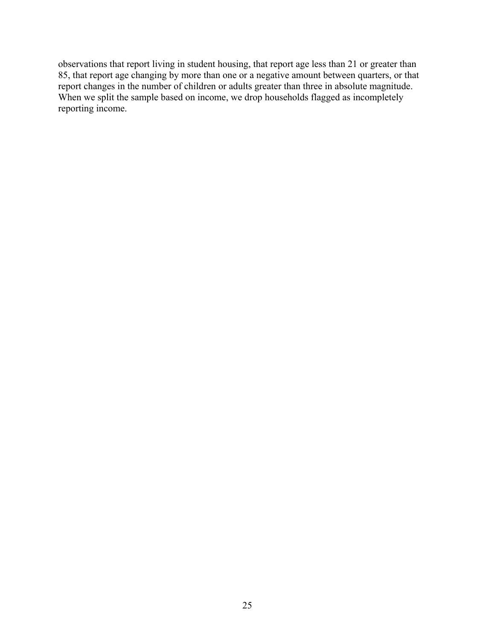observations that report living in student housing, that report age less than 21 or greater than 85, that report age changing by more than one or a negative amount between quarters, or that report changes in the number of children or adults greater than three in absolute magnitude. When we split the sample based on income, we drop households flagged as incompletely reporting income.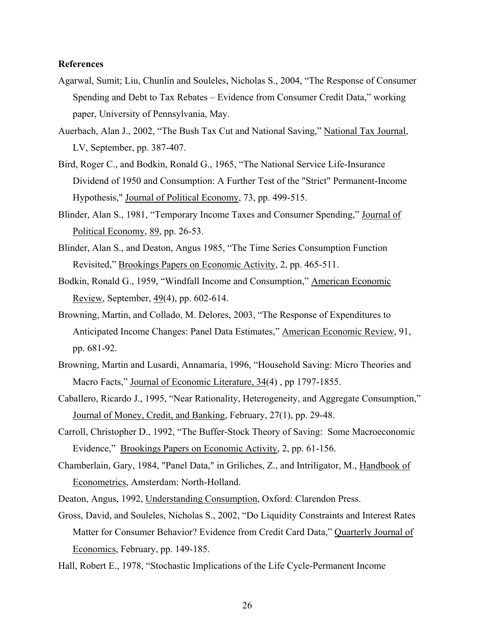#### **References**

- Agarwal, Sumit; Liu, Chunlin and Souleles, Nicholas S., 2004, "The Response of Consumer Spending and Debt to Tax Rebates – Evidence from Consumer Credit Data," working paper, University of Pennsylvania, May.
- Auerbach, Alan J., 2002, "The Bush Tax Cut and National Saving," National Tax Journal, LV, September, pp. 387-407.
- Bird, Roger C., and Bodkin, Ronald G., 1965, "The National Service Life-Insurance Dividend of 1950 and Consumption: A Further Test of the "Strict" Permanent-Income Hypothesis," Journal of Political Economy, 73, pp. 499-515.
- Blinder, Alan S., 1981, "Temporary Income Taxes and Consumer Spending," Journal of Political Economy, 89, pp. 26-53.
- Blinder, Alan S., and Deaton, Angus 1985, "The Time Series Consumption Function Revisited," Brookings Papers on Economic Activity, 2, pp. 465-511.
- Bodkin, Ronald G., 1959, "Windfall Income and Consumption," American Economic Review, September, 49(4), pp. 602-614.
- Browning, Martin, and Collado, M. Delores, 2003, "The Response of Expenditures to Anticipated Income Changes: Panel Data Estimates," American Economic Review, 91, pp. 681-92.
- Browning, Martin and Lusardi, Annamaria, 1996, "Household Saving: Micro Theories and Macro Facts," Journal of Economic Literature, 34(4), pp 1797-1855.
- Caballero, Ricardo J., 1995, "Near Rationality, Heterogeneity, and Aggregate Consumption," Journal of Money, Credit, and Banking, February, 27(1), pp. 29-48.
- Carroll, Christopher D., 1992, "The Buffer-Stock Theory of Saving: Some Macroeconomic Evidence," Brookings Papers on Economic Activity, 2, pp. 61-156.
- Chamberlain, Gary, 1984, "Panel Data," in Griliches, Z., and Intriligator, M., Handbook of Econometrics, Amsterdam: North-Holland.
- Deaton, Angus, 1992, Understanding Consumption, Oxford: Clarendon Press.
- Gross, David, and Souleles, Nicholas S., 2002, "Do Liquidity Constraints and Interest Rates Matter for Consumer Behavior? Evidence from Credit Card Data," Quarterly Journal of Economics, February, pp. 149-185.
- Hall, Robert E., 1978, "Stochastic Implications of the Life Cycle-Permanent Income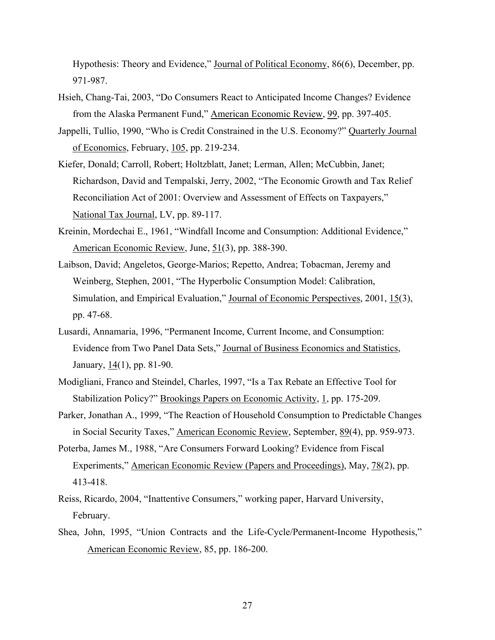Hypothesis: Theory and Evidence," Journal of Political Economy, 86(6), December, pp. 971-987.

- Hsieh, Chang-Tai, 2003, "Do Consumers React to Anticipated Income Changes? Evidence from the Alaska Permanent Fund," American Economic Review, 99, pp. 397-405.
- Jappelli, Tullio, 1990, "Who is Credit Constrained in the U.S. Economy?" Quarterly Journal of Economics, February, 105, pp. 219-234.
- Kiefer, Donald; Carroll, Robert; Holtzblatt, Janet; Lerman, Allen; McCubbin, Janet; Richardson, David and Tempalski, Jerry, 2002, "The Economic Growth and Tax Relief Reconciliation Act of 2001: Overview and Assessment of Effects on Taxpayers," National Tax Journal, LV, pp. 89-117.
- Kreinin, Mordechai E., 1961, "Windfall Income and Consumption: Additional Evidence," American Economic Review, June, 51(3), pp. 388-390.
- Laibson, David; Angeletos, George-Marios; Repetto, Andrea; Tobacman, Jeremy and Weinberg, Stephen, 2001, "The Hyperbolic Consumption Model: Calibration, Simulation, and Empirical Evaluation," Journal of Economic Perspectives, 2001, 15(3), pp. 47-68.
- Lusardi, Annamaria, 1996, "Permanent Income, Current Income, and Consumption: Evidence from Two Panel Data Sets," Journal of Business Economics and Statistics, January, 14(1), pp. 81-90.
- Modigliani, Franco and Steindel, Charles, 1997, "Is a Tax Rebate an Effective Tool for Stabilization Policy?" Brookings Papers on Economic Activity, 1, pp. 175-209.
- Parker, Jonathan A., 1999, "The Reaction of Household Consumption to Predictable Changes in Social Security Taxes," American Economic Review, September, 89(4), pp. 959-973.
- Poterba, James M., 1988, "Are Consumers Forward Looking? Evidence from Fiscal Experiments," American Economic Review (Papers and Proceedings), May, 78(2), pp. 413-418.
- Reiss, Ricardo, 2004, "Inattentive Consumers," working paper, Harvard University, February.
- Shea, John, 1995, "Union Contracts and the Life-Cycle/Permanent-Income Hypothesis," American Economic Review, 85, pp. 186-200.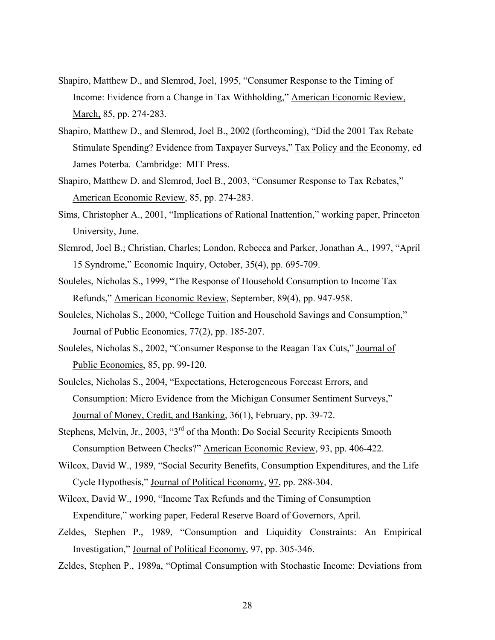- Shapiro, Matthew D., and Slemrod, Joel, 1995, "Consumer Response to the Timing of Income: Evidence from a Change in Tax Withholding," American Economic Review, March, 85, pp. 274-283.
- Shapiro, Matthew D., and Slemrod, Joel B., 2002 (forthcoming), "Did the 2001 Tax Rebate Stimulate Spending? Evidence from Taxpayer Surveys," Tax Policy and the Economy, ed James Poterba. Cambridge: MIT Press.
- Shapiro, Matthew D. and Slemrod, Joel B., 2003, "Consumer Response to Tax Rebates," American Economic Review, 85, pp. 274-283.
- Sims, Christopher A., 2001, "Implications of Rational Inattention," working paper, Princeton University, June.
- Slemrod, Joel B.; Christian, Charles; London, Rebecca and Parker, Jonathan A., 1997, "April 15 Syndrome," Economic Inquiry, October, 35(4), pp. 695-709.
- Souleles, Nicholas S., 1999, "The Response of Household Consumption to Income Tax Refunds," American Economic Review, September, 89(4), pp. 947-958.
- Souleles, Nicholas S., 2000, "College Tuition and Household Savings and Consumption," Journal of Public Economics, 77(2), pp. 185-207.
- Souleles, Nicholas S., 2002, "Consumer Response to the Reagan Tax Cuts," Journal of Public Economics, 85, pp. 99-120.
- Souleles, Nicholas S., 2004, "Expectations, Heterogeneous Forecast Errors, and Consumption: Micro Evidence from the Michigan Consumer Sentiment Surveys," Journal of Money, Credit, and Banking, 36(1), February, pp. 39-72.
- Stephens, Melvin, Jr., 2003, "3rd of tha Month: Do Social Security Recipients Smooth Consumption Between Checks?" American Economic Review, 93, pp. 406-422.
- Wilcox, David W., 1989, "Social Security Benefits, Consumption Expenditures, and the Life Cycle Hypothesis," Journal of Political Economy, 97, pp. 288-304.
- Wilcox, David W., 1990, "Income Tax Refunds and the Timing of Consumption Expenditure," working paper, Federal Reserve Board of Governors, April.
- Zeldes, Stephen P., 1989, "Consumption and Liquidity Constraints: An Empirical Investigation," Journal of Political Economy, 97, pp. 305-346.
- Zeldes, Stephen P., 1989a, "Optimal Consumption with Stochastic Income: Deviations from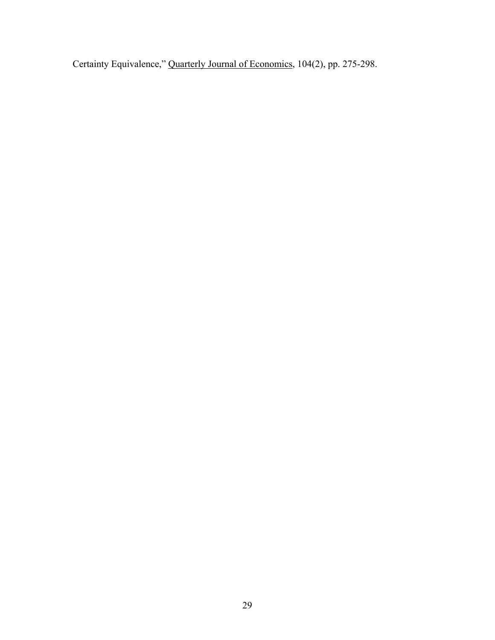Certainty Equivalence," Quarterly Journal of Economics, 104(2), pp. 275-298.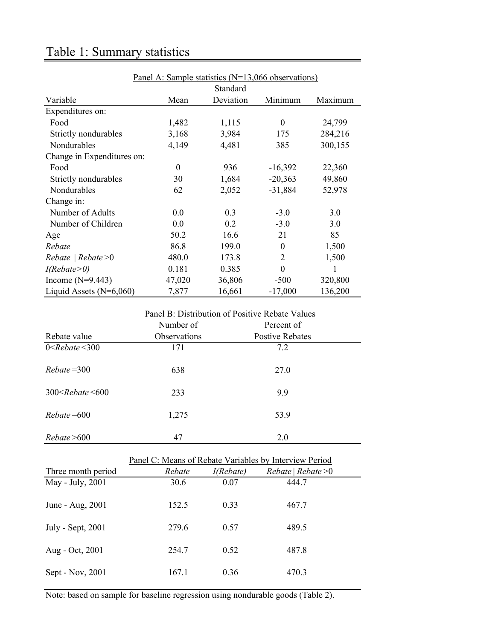|                            | Panel A: Sample statistics $(N=13,066$ observations) |           |                  |         |  |  |  |  |  |
|----------------------------|------------------------------------------------------|-----------|------------------|---------|--|--|--|--|--|
|                            |                                                      | Standard  |                  |         |  |  |  |  |  |
| Variable                   | Mean                                                 | Deviation | Minimum          | Maximum |  |  |  |  |  |
| Expenditures on:           |                                                      |           |                  |         |  |  |  |  |  |
| Food                       | 1,482                                                | 1,115     | $\boldsymbol{0}$ | 24,799  |  |  |  |  |  |
| Strictly nondurables       | 3,168                                                | 3,984     | 175              | 284,216 |  |  |  |  |  |
| Nondurables                | 4,149                                                | 4,481     | 385              | 300,155 |  |  |  |  |  |
| Change in Expenditures on: |                                                      |           |                  |         |  |  |  |  |  |
| Food                       | $\theta$                                             | 936       | $-16,392$        | 22,360  |  |  |  |  |  |
| Strictly nondurables       | 30                                                   | 1,684     | $-20,363$        | 49,860  |  |  |  |  |  |
| Nondurables                | 62                                                   | 2,052     | $-31,884$        | 52,978  |  |  |  |  |  |
| Change in:                 |                                                      |           |                  |         |  |  |  |  |  |
| Number of Adults           | 0.0                                                  | 0.3       | $-3.0$           | 3.0     |  |  |  |  |  |
| Number of Children         | 0.0                                                  | 0.2       | $-3.0$           | 3.0     |  |  |  |  |  |
| Age                        | 50.2                                                 | 16.6      | 21               | 85      |  |  |  |  |  |
| Rebate                     | 86.8                                                 | 199.0     | $\boldsymbol{0}$ | 1,500   |  |  |  |  |  |
| $Rebate \mid Rebate > 0$   | 480.0                                                | 173.8     | $\overline{2}$   | 1,500   |  |  |  |  |  |
| I(Rebate>0)                | 0.181                                                | 0.385     | $\theta$         | 1       |  |  |  |  |  |
| Income $(N=9,443)$         | 47,020                                               | 36,806    | $-500$           | 320,800 |  |  |  |  |  |
| Liquid Assets $(N=6,060)$  | 7,877                                                | 16,661    | $-17,000$        | 136,200 |  |  |  |  |  |

### Table 1: Summary statistics

# Panel B: Distribution of Positive Rebate Values Number of Percent of Rebate value **Observations** Postive Rebates 0  $\leq$ *Rebate*  $\leq$  300 171 7.2 *Rebate* =300 638 27.0 300 Rebate <600 233 9.9 *Rebate* = 600 1,275 53.9 *Rebate* >600 47 2.0

|                    | Panel C: Means of Rebate Variables by Interview Period |           |                     |  |  |  |  |  |  |
|--------------------|--------------------------------------------------------|-----------|---------------------|--|--|--|--|--|--|
| Three month period | Rebate                                                 | I(Rebate) | Rebate   Rebate > 0 |  |  |  |  |  |  |
| May - July, 2001   | 30.6                                                   | 0.07      | 444.7               |  |  |  |  |  |  |
| June - Aug, 2001   | 152.5                                                  | 0.33      | 467.7               |  |  |  |  |  |  |
| July - Sept, 2001  | 279.6                                                  | 0.57      | 489.5               |  |  |  |  |  |  |
| Aug - Oct, 2001    | 254.7                                                  | 0.52      | 487.8               |  |  |  |  |  |  |
| Sept - Nov, 2001   | 167.1                                                  | 0.36      | 470.3               |  |  |  |  |  |  |

Note: based on sample for baseline regression using nondurable goods (Table 2).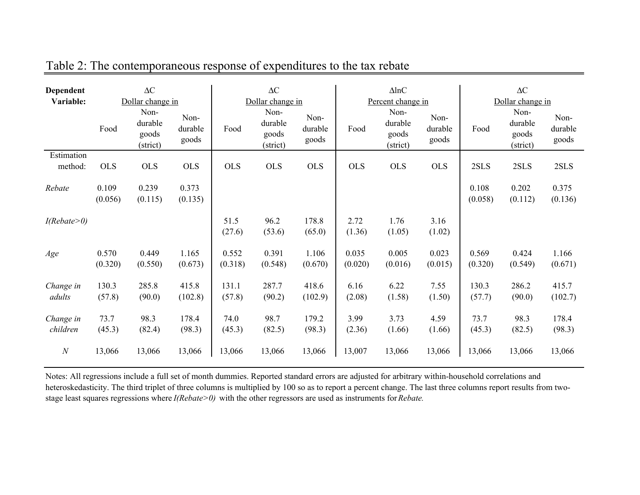| Dependent<br>Variable: | $\Delta C$<br>Dollar change in |                                      |                          | $\Delta C$<br>Dollar change in |                                      |                          |                  | $\Delta$ lnC<br>Percent change in    |                          | $\Delta C$<br>Dollar change in |                                      |                          |
|------------------------|--------------------------------|--------------------------------------|--------------------------|--------------------------------|--------------------------------------|--------------------------|------------------|--------------------------------------|--------------------------|--------------------------------|--------------------------------------|--------------------------|
|                        | Food                           | Non-<br>durable<br>goods<br>(strict) | Non-<br>durable<br>goods | Food                           | Non-<br>durable<br>goods<br>(strict) | Non-<br>durable<br>goods | Food             | Non-<br>durable<br>goods<br>(strict) | Non-<br>durable<br>goods | Food                           | Non-<br>durable<br>goods<br>(strict) | Non-<br>durable<br>goods |
| Estimation<br>method:  | <b>OLS</b>                     | <b>OLS</b>                           | <b>OLS</b>               | <b>OLS</b>                     | <b>OLS</b>                           | <b>OLS</b>               | <b>OLS</b>       | <b>OLS</b>                           | <b>OLS</b>               | 2SLS                           | 2SLS                                 | 2SLS                     |
| Rebate                 | 0.109<br>(0.056)               | 0.239<br>(0.115)                     | 0.373<br>(0.135)         |                                |                                      |                          |                  |                                      |                          | 0.108<br>(0.058)               | 0.202<br>(0.112)                     | 0.375<br>(0.136)         |
| I(Rebate>0)            |                                |                                      |                          | 51.5<br>(27.6)                 | 96.2<br>(53.6)                       | 178.8<br>(65.0)          | 2.72<br>(1.36)   | 1.76<br>(1.05)                       | 3.16<br>(1.02)           |                                |                                      |                          |
| Age                    | 0.570<br>(0.320)               | 0.449<br>(0.550)                     | 1.165<br>(0.673)         | 0.552<br>(0.318)               | 0.391<br>(0.548)                     | 1.106<br>(0.670)         | 0.035<br>(0.020) | 0.005<br>(0.016)                     | 0.023<br>(0.015)         | 0.569<br>(0.320)               | 0.424<br>(0.549)                     | 1.166<br>(0.671)         |
| Change in<br>adults    | 130.3<br>(57.8)                | 285.8<br>(90.0)                      | 415.8<br>(102.8)         | 131.1<br>(57.8)                | 287.7<br>(90.2)                      | 418.6<br>(102.9)         | 6.16<br>(2.08)   | 6.22<br>(1.58)                       | 7.55<br>(1.50)           | 130.3<br>(57.7)                | 286.2<br>(90.0)                      | 415.7<br>(102.7)         |
| Change in<br>children  | 73.7<br>(45.3)                 | 98.3<br>(82.4)                       | 178.4<br>(98.3)          | 74.0<br>(45.3)                 | 98.7<br>(82.5)                       | 179.2<br>(98.3)          | 3.99<br>(2.36)   | 3.73<br>(1.66)                       | 4.59<br>(1.66)           | 73.7<br>(45.3)                 | 98.3<br>(82.5)                       | 178.4<br>(98.3)          |
| $\boldsymbol{N}$       | 13,066                         | 13,066                               | 13,066                   | 13,066                         | 13,066                               | 13,066                   | 13,007           | 13,066                               | 13,066                   | 13,066                         | 13,066                               | 13,066                   |

Table 2: The contemporaneous response of expenditures to the tax rebate

Notes: All regressions include a full set of month dummies. Reported standard errors are adjusted for arbitrary within-household correlations and heteroskedasticity. The third triplet of three columns is multiplied by 100 so as to report a percent change. The last three columns report results from twostage least squares regressions where *I(Rebate>0)* with the other regressors are used as instruments for *Rebate.*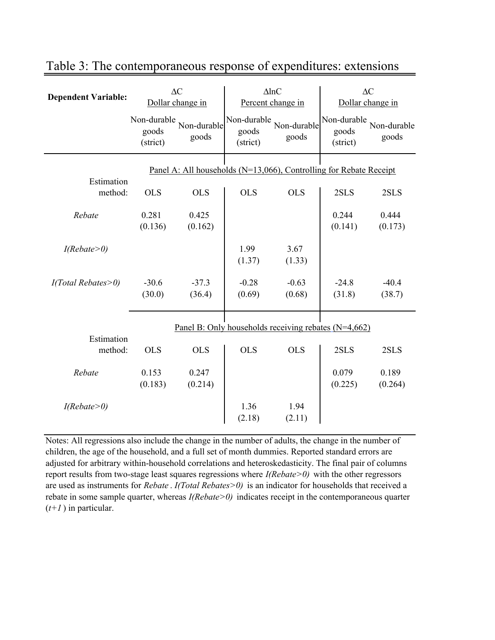| <b>Dependent Variable:</b> |                                                      | $\Delta C$<br>Dollar change in |                                  | $\Delta$ lnC<br>Percent change in                                  | $\Delta C$<br>Dollar change in   |                      |  |
|----------------------------|------------------------------------------------------|--------------------------------|----------------------------------|--------------------------------------------------------------------|----------------------------------|----------------------|--|
|                            | Non-durable<br>goods<br>(strict)                     | Non-durable<br>goods           | Non-durable<br>goods<br>(strict) | Non-durable<br>goods                                               | Non-durable<br>goods<br>(strict) | Non-durable<br>goods |  |
| Estimation                 |                                                      |                                |                                  | Panel A: All households (N=13,066), Controlling for Rebate Receipt |                                  |                      |  |
| method:                    | <b>OLS</b>                                           | <b>OLS</b>                     | <b>OLS</b>                       | <b>OLS</b>                                                         | 2SLS                             | 2SLS                 |  |
| Rebate                     | 0.281<br>(0.136)                                     | 0.425<br>(0.162)               |                                  |                                                                    | 0.244<br>(0.141)                 | 0.444<br>(0.173)     |  |
| I(Rebate>0)                |                                                      |                                | 1.99<br>(1.37)                   | 3.67<br>(1.33)                                                     |                                  |                      |  |
| $I(Total \, Rebates>0)$    | $-30.6$<br>(30.0)                                    | $-37.3$<br>(36.4)              | $-0.28$<br>(0.69)                | $-0.63$<br>(0.68)                                                  | $-24.8$<br>(31.8)                | $-40.4$<br>(38.7)    |  |
| Estimation                 | Panel B: Only households receiving rebates (N=4,662) |                                |                                  |                                                                    |                                  |                      |  |
| method:                    | <b>OLS</b>                                           | <b>OLS</b>                     | <b>OLS</b>                       | <b>OLS</b>                                                         | 2SLS                             | 2SLS                 |  |
| Rebate                     | 0.153<br>(0.183)                                     | 0.247<br>(0.214)               |                                  |                                                                    | 0.079<br>(0.225)                 | 0.189<br>(0.264)     |  |
| I(Rebate>0)                |                                                      |                                | 1.36<br>(2.18)                   | 1.94<br>(2.11)                                                     |                                  |                      |  |

### Table 3: The contemporaneous response of expenditures: extensions

Notes: All regressions also include the change in the number of adults, the change in the number of children, the age of the household, and a full set of month dummies. Reported standard errors are adjusted for arbitrary within-household correlations and heteroskedasticity. The final pair of columns report results from two-stage least squares regressions where *I(Rebate>0)* with the other regressors are used as instruments for *Rebate* . *I(Total Rebates>0)* is an indicator for households that received a rebate in some sample quarter, whereas *I(Rebate>0)* indicates receipt in the contemporaneous quarter (*t+1* ) in particular.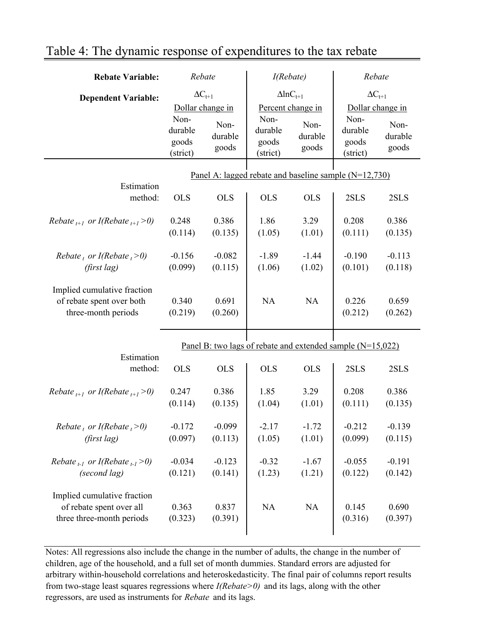| <b>Rebate Variable:</b>                                                              | Rebate                               |                          | I(Rebate)                            |                          | Rebate                                                       |                          |  |  |
|--------------------------------------------------------------------------------------|--------------------------------------|--------------------------|--------------------------------------|--------------------------|--------------------------------------------------------------|--------------------------|--|--|
| <b>Dependent Variable:</b>                                                           | $\Delta C_{t+1}$                     |                          | $\Delta$ lnC <sub>t+1</sub>          |                          | $\Delta C_{t+1}$                                             |                          |  |  |
|                                                                                      | Dollar change in                     |                          | Percent change in                    |                          | Dollar change in                                             |                          |  |  |
|                                                                                      | Non-<br>durable<br>goods<br>(strict) | Non-<br>durable<br>goods | Non-<br>durable<br>goods<br>(strict) | Non-<br>durable<br>goods | Non-<br>durable<br>goods<br>(strict)                         | Non-<br>durable<br>goods |  |  |
|                                                                                      |                                      |                          |                                      |                          | Panel A: lagged rebate and baseline sample $(N=12,730)$      |                          |  |  |
| Estimation                                                                           |                                      |                          |                                      |                          |                                                              |                          |  |  |
| method:                                                                              | <b>OLS</b>                           | <b>OLS</b>               | <b>OLS</b>                           | <b>OLS</b>               | 2SLS                                                         | 2SLS                     |  |  |
| Rebate $_{t+1}$ or I(Rebate $_{t+1}$ >0)                                             | 0.248                                | 0.386                    | 1.86                                 | 3.29                     | 0.208                                                        | 0.386                    |  |  |
|                                                                                      | (0.114)                              | (0.135)                  | (1.05)                               | (1.01)                   | (0.111)                                                      | (0.135)                  |  |  |
| Rebate, or I(Rebate, $>0$ )                                                          | $-0.156$                             | $-0.082$                 | $-1.89$                              | $-1.44$                  | $-0.190$                                                     | $-0.113$                 |  |  |
| (first lag)                                                                          | (0.099)                              | (0.115)                  | (1.06)                               | (1.02)                   | (0.101)                                                      | (0.118)                  |  |  |
| Implied cumulative fraction<br>of rebate spent over both<br>three-month periods      | 0.340<br>(0.219)                     | 0.691<br>(0.260)         | NA                                   | NA                       | 0.226<br>(0.212)                                             | 0.659<br>(0.262)         |  |  |
|                                                                                      |                                      |                          |                                      |                          | Panel B: two lags of rebate and extended sample $(N=15,022)$ |                          |  |  |
| Estimation<br>method:                                                                | <b>OLS</b>                           | <b>OLS</b>               | <b>OLS</b>                           | <b>OLS</b>               | 2SLS                                                         | 2SLS                     |  |  |
| Rebate $_{t+1}$ or I(Rebate $_{t+1}$ >0)                                             | 0.247                                | 0.386                    | 1.85                                 | 3.29                     | 0.208                                                        | 0.386                    |  |  |
|                                                                                      | (0.114)                              | (0.135)                  | (1.04)                               | (1.01)                   | (0.111)                                                      | (0.135)                  |  |  |
| Rebate t or I(Rebate $t > 0$ )                                                       | $-0.172$                             | $-0.099$                 | -2 17                                | $-1.72$                  | $-0.212$                                                     | $-0.139$                 |  |  |
| (first lag)                                                                          | (0.097)                              | (0.113)                  | (1.05)                               | (1.01)                   | (0.099)                                                      | (0.115)                  |  |  |
| Rebate $_{t-1}$ or I(Rebate $_{t-1}$ >0)                                             | $-0.034$                             | $-0.123$                 | $-0.32$                              | $-1.67$                  | $-0.055$                                                     | $-0.191$                 |  |  |
| (second lag)                                                                         | (0.121)                              | (0.141)                  | (1.23)                               | (1.21)                   | (0.122)                                                      | (0.142)                  |  |  |
| Implied cumulative fraction<br>of rebate spent over all<br>three three-month periods | 0.363<br>(0.323)                     | 0.837<br>(0.391)         | <b>NA</b>                            | NA                       | 0.145<br>(0.316)                                             | 0.690<br>(0.397)         |  |  |
|                                                                                      |                                      |                          |                                      |                          |                                                              |                          |  |  |

## Table 4: The dynamic response of expenditures to the tax rebate

Notes: All regressions also include the change in the number of adults, the change in the number of children, age of the household, and a full set of month dummies. Standard errors are adjusted for arbitrary within-household correlations and heteroskedasticity. The final pair of columns report results from two-stage least squares regressions where *I(Rebate>0)* and its lags, along with the other regressors, are used as instruments for *Rebate* and its lags.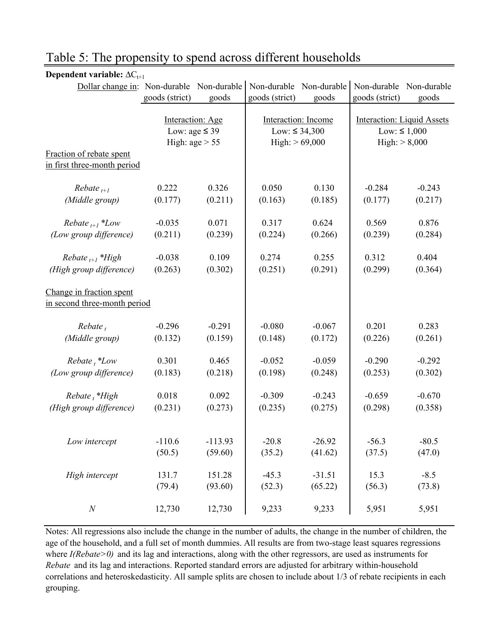| Dollar change in: Non-durable Non-durable |                    |           | Non-durable Non-durable |          | Non-durable Non-durable           |          |  |
|-------------------------------------------|--------------------|-----------|-------------------------|----------|-----------------------------------|----------|--|
|                                           | goods (strict)     | goods     | goods (strict)          | goods    | goods (strict)                    | goods    |  |
|                                           |                    |           |                         |          |                                   |          |  |
|                                           | Interaction: Age   |           | Interaction: Income     |          | <b>Interaction: Liquid Assets</b> |          |  |
|                                           | Low: age $\leq$ 39 |           | Low: ≤ 34,300           |          | Low: $\leq 1,000$                 |          |  |
|                                           | High: $age > 55$   |           | High: $> 69,000$        |          | High: $> 8,000$                   |          |  |
| Fraction of rebate spent                  |                    |           |                         |          |                                   |          |  |
| in first three-month period               |                    |           |                         |          |                                   |          |  |
| $Rebate_{t+1}$                            | 0.222              | 0.326     | 0.050                   | 0.130    | $-0.284$                          | $-0.243$ |  |
| (Middle group)                            | (0.177)            | (0.211)   | (0.163)                 | (0.185)  | (0.177)                           | (0.217)  |  |
|                                           |                    |           |                         |          |                                   |          |  |
| Rebate $_{t+1}$ *Low                      | $-0.035$           | 0.071     | 0.317                   | 0.624    | 0.569                             | 0.876    |  |
| (Low group difference)                    | (0.211)            | (0.239)   | (0.224)                 | (0.266)  | (0.239)                           | (0.284)  |  |
|                                           |                    |           |                         |          |                                   |          |  |
| Rebate $_{t+1}$ *High                     | $-0.038$           | 0.109     | 0.274                   | 0.255    | 0.312                             | 0.404    |  |
| (High group difference)                   | (0.263)            | (0.302)   | (0.251)                 | (0.291)  | (0.299)                           | (0.364)  |  |
|                                           |                    |           |                         |          |                                   |          |  |
| Change in fraction spent                  |                    |           |                         |          |                                   |          |  |
| in second three-month period              |                    |           |                         |          |                                   |          |  |
| $Rebate_t$                                | $-0.296$           | $-0.291$  | $-0.080$                | $-0.067$ | 0.201                             | 0.283    |  |
| (Middle group)                            | (0.132)            | (0.159)   | (0.148)                 | (0.172)  | (0.226)                           | (0.261)  |  |
|                                           |                    |           |                         |          |                                   |          |  |
| $Rebate_t$ <sup>*</sup> Low               | 0.301              | 0.465     | $-0.052$                | $-0.059$ | $-0.290$                          | $-0.292$ |  |
| (Low group difference)                    | (0.183)            | (0.218)   | (0.198)                 | (0.248)  | (0.253)                           | (0.302)  |  |
|                                           |                    |           |                         |          |                                   |          |  |
| $Rebate_{t}$ *High                        | 0.018              | 0.092     | $-0.309$                | $-0.243$ | $-0.659$                          | $-0.670$ |  |
| (High group difference)                   | (0.231)            | (0.273)   | (0.235)                 | (0.275)  | (0.298)                           | (0.358)  |  |
|                                           |                    |           |                         |          |                                   |          |  |
|                                           |                    |           |                         |          |                                   |          |  |
| Low intercept                             | $-110.6$           | $-113.93$ | $-20.8$                 | $-26.92$ | $-56.3$                           | $-80.5$  |  |
|                                           | (50.5)             | (59.60)   | (35.2)                  | (41.62)  | (37.5)                            | (47.0)   |  |
| High intercept                            | 131.7              | 151.28    | $-45.3$                 | $-31.51$ | 15.3                              | $-8.5$   |  |
|                                           | (79.4)             | (93.60)   | (52.3)                  | (65.22)  | (56.3)                            | (73.8)   |  |
|                                           |                    |           |                         |          |                                   |          |  |
| $\cal N$                                  | 12,730             | 12,730    | 9,233                   | 9,233    | 5,951                             | 5,951    |  |

### Table 5: The propensity to spend across different households

Dependent variable:  $\Delta C_{t+1}$ 

Notes: All regressions also include the change in the number of adults, the change in the number of children, the age of the household, and a full set of month dummies. All results are from two-stage least squares regressions where *I(Rebate>0)* and its lag and interactions, along with the other regressors, are used as instruments for *Rebate* and its lag and interactions. Reported standard errors are adjusted for arbitrary within-household correlations and heteroskedasticity. All sample splits are chosen to include about 1/3 of rebate recipients in each grouping.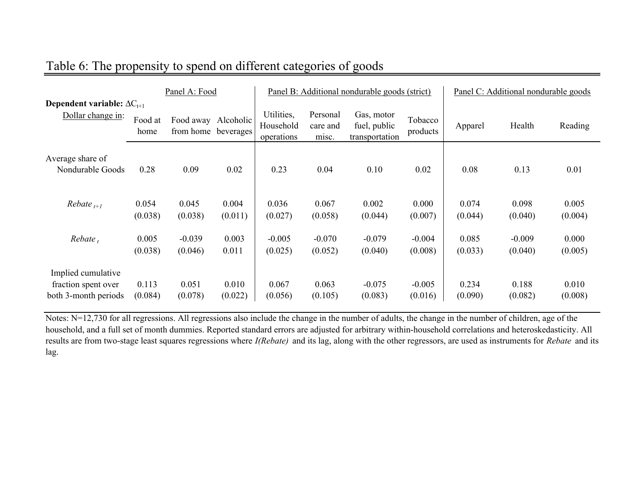|                                                                   | Panel A: Food    |                                            |                  | Panel B: Additional nondurable goods (strict) |                               |                                              |                     | Panel C: Additional nondurable goods |                     |                  |
|-------------------------------------------------------------------|------------------|--------------------------------------------|------------------|-----------------------------------------------|-------------------------------|----------------------------------------------|---------------------|--------------------------------------|---------------------|------------------|
| Dependent variable: $\Delta C_{t+1}$<br>Dollar change in:         | Food at<br>home  | Food away Alcoholic<br>from home beverages |                  | Utilities,<br>Household<br>operations         | Personal<br>care and<br>misc. | Gas, motor<br>fuel, public<br>transportation | Tobacco<br>products | Apparel                              | Health              | Reading          |
| Average share of<br>Nondurable Goods                              | 0.28             | 0.09                                       | 0.02             | 0.23                                          | 0.04                          | 0.10                                         | 0.02                | 0.08                                 | 0.13                | 0.01             |
| $Rebate_{t+1}$                                                    | 0.054<br>(0.038) | 0.045<br>(0.038)                           | 0.004<br>(0.011) | 0.036<br>(0.027)                              | 0.067<br>(0.058)              | 0.002<br>(0.044)                             | 0.000<br>(0.007)    | 0.074<br>(0.044)                     | 0.098<br>(0.040)    | 0.005<br>(0.004) |
| $Rebate_{t}$                                                      | 0.005<br>(0.038) | $-0.039$<br>(0.046)                        | 0.003<br>0.011   | $-0.005$<br>(0.025)                           | $-0.070$<br>(0.052)           | $-0.079$<br>(0.040)                          | $-0.004$<br>(0.008) | 0.085<br>(0.033)                     | $-0.009$<br>(0.040) | 0.000<br>(0.005) |
| Implied cumulative<br>fraction spent over<br>both 3-month periods | 0.113<br>(0.084) | 0.051<br>(0.078)                           | 0.010<br>(0.022) | 0.067<br>(0.056)                              | 0.063<br>(0.105)              | $-0.075$<br>(0.083)                          | $-0.005$<br>(0.016) | 0.234<br>(0.090)                     | 0.188<br>(0.082)    | 0.010<br>(0.008) |

## Table 6: The propensity to spend on different categories of goods

Notes: N=12,730 for all regressions. All regressions also include the change in the number of adults, the change in the number of children, age of the household, and a full set of month dummies. Reported standard errors are adjusted for arbitrary within-household correlations and heteroskedasticity. All results are from two-stage least squares regressions where *I(Rebate)* and its lag, along with the other regressors, are used as instruments for *Rebate* and its lag.